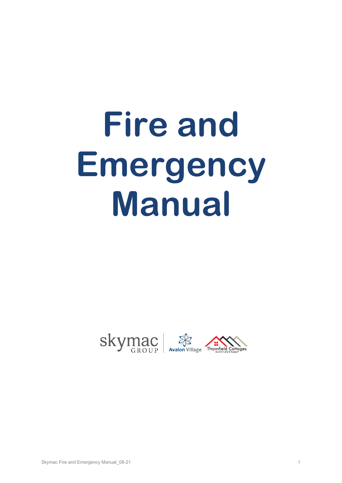# **Fire and Emergency Manual**

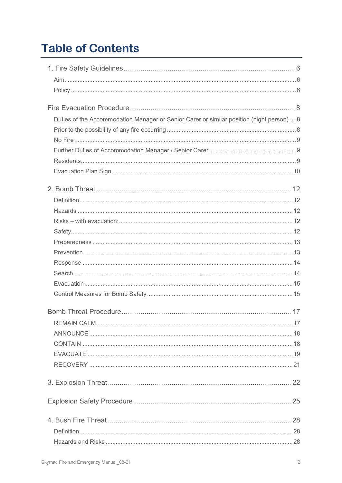# **Table of Contents**

| Duties of the Accommodation Manager or Senior Carer or similar position (night person) 8 |  |
|------------------------------------------------------------------------------------------|--|
|                                                                                          |  |
|                                                                                          |  |
|                                                                                          |  |
|                                                                                          |  |
|                                                                                          |  |
|                                                                                          |  |
|                                                                                          |  |
|                                                                                          |  |
|                                                                                          |  |
|                                                                                          |  |
|                                                                                          |  |
|                                                                                          |  |
|                                                                                          |  |
|                                                                                          |  |
|                                                                                          |  |
|                                                                                          |  |
|                                                                                          |  |
|                                                                                          |  |
|                                                                                          |  |
|                                                                                          |  |
|                                                                                          |  |
|                                                                                          |  |
|                                                                                          |  |
|                                                                                          |  |
|                                                                                          |  |
|                                                                                          |  |
|                                                                                          |  |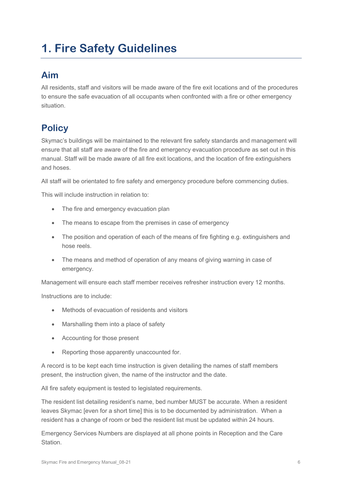# <span id="page-5-0"></span>**1. Fire Safety Guidelines**

# <span id="page-5-1"></span>**Aim**

All residents, staff and visitors will be made aware of the fire exit locations and of the procedures to ensure the safe evacuation of all occupants when confronted with a fire or other emergency situation.

# <span id="page-5-2"></span>**Policy**

Skymac's buildings will be maintained to the relevant fire safety standards and management will ensure that all staff are aware of the fire and emergency evacuation procedure as set out in this manual. Staff will be made aware of all fire exit locations, and the location of fire extinguishers and hoses.

All staff will be orientated to fire safety and emergency procedure before commencing duties.

This will include instruction in relation to:

- The fire and emergency evacuation plan
- The means to escape from the premises in case of emergency
- The position and operation of each of the means of fire fighting e.g. extinguishers and hose reels.
- The means and method of operation of any means of giving warning in case of emergency.

Management will ensure each staff member receives refresher instruction every 12 months.

Instructions are to include:

- Methods of evacuation of residents and visitors
- Marshalling them into a place of safety
- Accounting for those present
- Reporting those apparently unaccounted for.

A record is to be kept each time instruction is given detailing the names of staff members present, the instruction given, the name of the instructor and the date.

All fire safety equipment is tested to legislated requirements.

The resident list detailing resident's name, bed number MUST be accurate. When a resident leaves Skymac [even for a short time] this is to be documented by administration. When a resident has a change of room or bed the resident list must be updated within 24 hours.

Emergency Services Numbers are displayed at all phone points in Reception and the Care Station.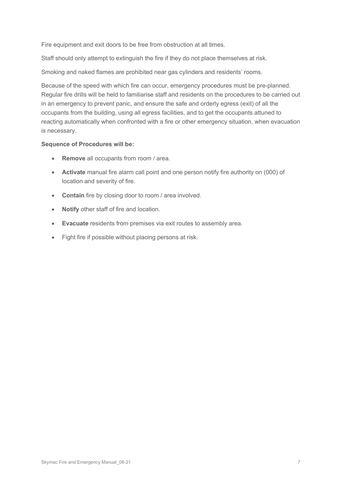Fire equipment and exit doors to be free from obstruction at all times.

Staff should only attempt to extinguish the fire if they do not place themselves at risk.

Smoking and naked flames are prohibited near gas cylinders and residents' rooms.

Because of the speed with which fire can occur, emergency procedures must be pre-planned. Regular fire drills will be held to familiarise staff and residents on the procedures to be carried out in an emergency to prevent panic, and ensure the safe and orderly egress (exit) of all the occupants from the building, using all egress facilities, and to get the occupants attuned to reacting automatically when confronted with a fire or other emergency situation, when evacuation is necessary.

### **Sequence of Procedures will be:**

- **Remove** all occupants from room / area.
- **Activate** manual fire alarm call point and one person notify fire authority on (000) of location and severity of fire.
- **Contain** fire by closing door to room / area involved.
- **Notify** other staff of fire and location.
- **Evacuate** residents from premises via exit routes to assembly area.
- Fight fire if possible without placing persons at risk.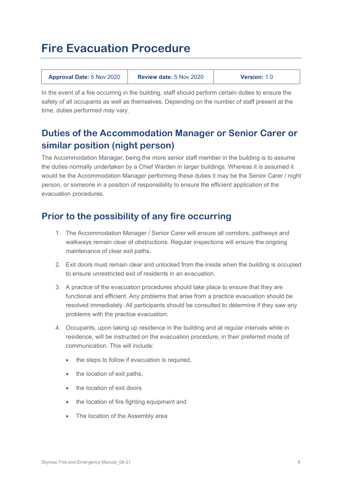# <span id="page-7-0"></span>**Fire Evacuation Procedure**

| <b>Approval Date: 5 Nov 2020</b> | <b>Review date: 5 Nov 2020</b> | <b>Version: 1.0</b> |
|----------------------------------|--------------------------------|---------------------|
|----------------------------------|--------------------------------|---------------------|

In the event of a fire occurring in the building, staff should perform certain duties to ensure the safety of all occupants as well as themselves. Depending on the number of staff present at the time, duties performed may vary.

# <span id="page-7-1"></span>**Duties of the Accommodation Manager or Senior Carer or similar position (night person)**

The Accommodation Manager, being the more senior staff member in the building is to assume the duties normally undertaken by a Chief Warden in larger buildings. Whereas it is assumed it would be the Accommodation Manager performing these duties it may be the Senior Carer / night person, or someone in a position of responsibility to ensure the efficient application of the evacuation procedures.

# <span id="page-7-2"></span>**Prior to the possibility of any fire occurring**

- 1. The Accommodation Manager / Senior Carer will ensure all corridors, pathways and walkways remain clear of obstructions. Regular inspections will ensure the ongoing maintenance of clear exit paths.
- 2. Exit doors must remain clear and unlocked from the inside when the building is occupied to ensure unrestricted exit of residents in an evacuation.
- 3. A practice of the evacuation procedures should take place to ensure that they are functional and efficient. Any problems that arise from a practice evacuation should be resolved immediately. All participants should be consulted to determine if they saw any problems with the practice evacuation.
- 4. Occupants, upon taking up residence in the building and at regular intervals while in residence, will be instructed on the evacuation procedure, in their preferred mode of communication. This will include:
	- the steps to follow if evacuation is required,
	- the location of exit paths,
	- the location of exit doors
	- the location of fire fighting equipment and
	- The location of the Assembly area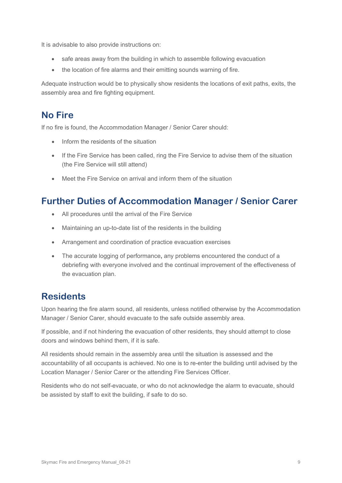It is advisable to also provide instructions on:

- safe areas away from the building in which to assemble following evacuation
- the location of fire alarms and their emitting sounds warning of fire.

Adequate instruction would be to physically show residents the locations of exit paths, exits, the assembly area and fire fighting equipment.

# <span id="page-8-0"></span>**No Fire**

If no fire is found, the Accommodation Manager / Senior Carer should:

- Inform the residents of the situation
- If the Fire Service has been called, ring the Fire Service to advise them of the situation (the Fire Service will still attend)
- Meet the Fire Service on arrival and inform them of the situation

# <span id="page-8-1"></span>**Further Duties of Accommodation Manager / Senior Carer**

- All procedures until the arrival of the Fire Service
- Maintaining an up-to-date list of the residents in the building
- Arrangement and coordination of practice evacuation exercises
- The accurate logging of performance**,** any problems encountered the conduct of a debriefing with everyone involved and the continual improvement of the effectiveness of the evacuation plan.

# <span id="page-8-2"></span>**Residents**

Upon hearing the fire alarm sound, all residents, unless notified otherwise by the Accommodation Manager / Senior Carer, should evacuate to the safe outside assembly area.

If possible, and if not hindering the evacuation of other residents, they should attempt to close doors and windows behind them, if it is safe.

All residents should remain in the assembly area until the situation is assessed and the accountability of all occupants is achieved. No one is to re-enter the building until advised by the Location Manager / Senior Carer or the attending Fire Services Officer.

Residents who do not self-evacuate, or who do not acknowledge the alarm to evacuate, should be assisted by staff to exit the building, if safe to do so.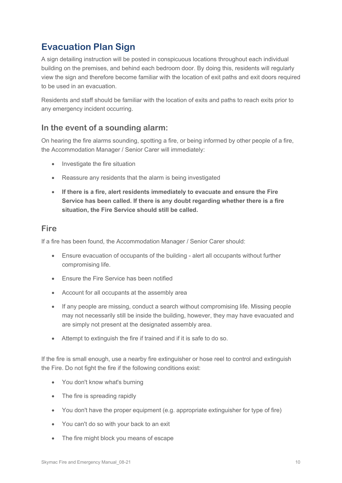# <span id="page-9-0"></span>**Evacuation Plan Sign**

A sign detailing instruction will be posted in conspicuous locations throughout each individual building on the premises, and behind each bedroom door. By doing this, residents will regularly view the sign and therefore become familiar with the location of exit paths and exit doors required to be used in an evacuation.

Residents and staff should be familiar with the location of exits and paths to reach exits prior to any emergency incident occurring.

### **In the event of a sounding alarm:**

On hearing the fire alarms sounding, spotting a fire, or being informed by other people of a fire, the Accommodation Manager / Senior Carer will immediately:

- Investigate the fire situation
- Reassure any residents that the alarm is being investigated
- **If there is a fire, alert residents immediately to evacuate and ensure the Fire Service has been called. If there is any doubt regarding whether there is a fire situation, the Fire Service should still be called.**

### **Fire**

If a fire has been found, the Accommodation Manager / Senior Carer should:

- Ensure evacuation of occupants of the building alert all occupants without further compromising life.
- Ensure the Fire Service has been notified
- Account for all occupants at the assembly area
- If any people are missing, conduct a search without compromising life. Missing people may not necessarily still be inside the building, however, they may have evacuated and are simply not present at the designated assembly area.
- Attempt to extinguish the fire if trained and if it is safe to do so.

If the fire is small enough, use a nearby fire extinguisher or hose reel to control and extinguish the Fire. Do not fight the fire if the following conditions exist:

- You don't know what's burning
- The fire is spreading rapidly
- You don't have the proper equipment (e.g. appropriate extinguisher for type of fire)
- You can't do so with your back to an exit
- The fire might block you means of escape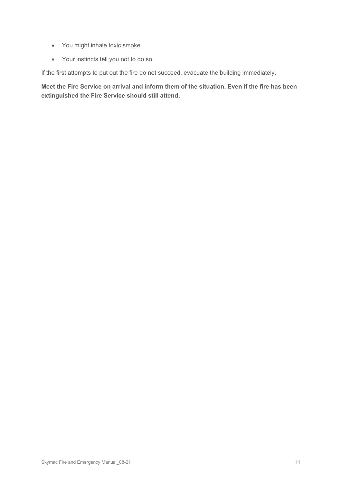- You might inhale toxic smoke
- Your instincts tell you not to do so.

If the first attempts to put out the fire do not succeed, evacuate the building immediately.

**Meet the Fire Service on arrival and inform them of the situation. Even if the fire has been extinguished the Fire Service should still attend.**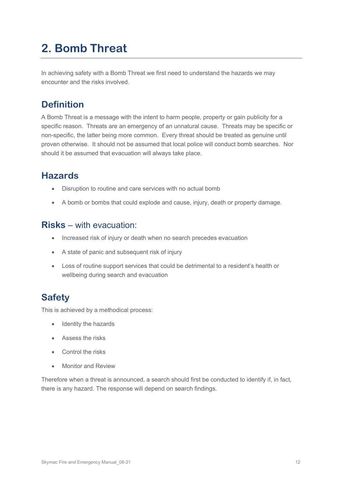# <span id="page-11-0"></span>**2. Bomb Threat**

In achieving safety with a Bomb Threat we first need to understand the hazards we may encounter and the risks involved.

# <span id="page-11-1"></span>**Definition**

A Bomb Threat is a message with the intent to harm people, property or gain publicity for a specific reason. Threats are an emergency of an unnatural cause. Threats may be specific or non-specific, the latter being more common. Every threat should be treated as genuine until proven otherwise. It should not be assumed that local police will conduct bomb searches. Nor should it be assumed that evacuation will always take place.

# <span id="page-11-2"></span>**Hazards**

- Disruption to routine and care services with no actual bomb
- A bomb or bombs that could explode and cause, injury, death or property damage.

# <span id="page-11-3"></span>**Risks** – with evacuation:

- Increased risk of injury or death when no search precedes evacuation
- A state of panic and subsequent risk of injury
- Loss of routine support services that could be detrimental to a resident's health or wellbeing during search and evacuation

# <span id="page-11-4"></span>**Safety**

This is achieved by a methodical process:

- Identity the hazards
- Assess the risks
- Control the risks
- Monitor and Review

Therefore when a threat is announced, a search should first be conducted to identify if, in fact, there is any hazard. The response will depend on search findings.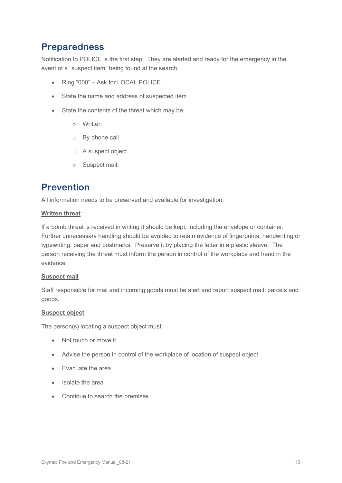# <span id="page-12-0"></span>**Preparedness**

Notification to POLICE is the first step. They are alerted and ready for the emergency in the event of a "suspect item" being found at the search.

- Ring "000" Ask for LOCAL POLICE
- State the name and address of suspected item
- State the contents of the threat which may be:
	- o Written
	- o By phone call
	- o A suspect object
	- o Suspect mail.

# <span id="page-12-1"></span>**Prevention**

All information needs to be preserved and available for investigation.

### **Written threat**

If a bomb threat is received in writing it should be kept, including the envelope or container. Further unnecessary handling should be avoided to retain evidence of fingerprints, handwriting or typewriting, paper and postmarks. Preserve it by placing the letter in a plastic sleeve. The person receiving the threat must inform the person in control of the workplace and hand in the evidence

### **Suspect mail**

Staff responsible for mail and incoming goods must be alert and report suspect mail, parcels and goods.

### **Suspect object**

The person(s) locating a suspect object must:

- Not touch or move it
- Advise the person in control of the workplace of location of suspect object
- Evacuate the area
- Isolate the area
- Continue to search the premises.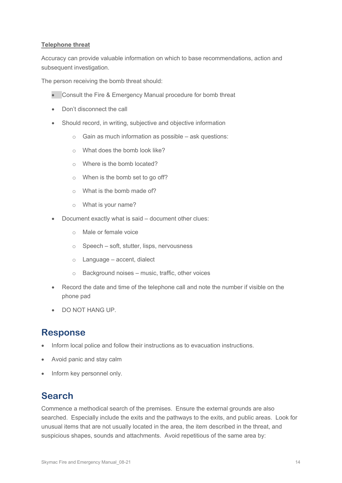### **Telephone threat**

Accuracy can provide valuable information on which to base recommendations, action and subsequent investigation.

The person receiving the bomb threat should:

- Consult the Fire & Emergency Manual procedure for bomb threat
- Don't disconnect the call
- Should record, in writing, subjective and objective information
	- o Gain as much information as possible ask questions:
	- o What does the bomb look like?
	- o Where is the bomb located?
	- o When is the bomb set to go off?
	- o What is the bomb made of?
	- o What is your name?
- Document exactly what is said document other clues:
	- o Male or female voice
	- o Speech soft, stutter, lisps, nervousness
	- o Language accent, dialect
	- $\circ$  Background noises music, traffic, other voices
- Record the date and time of the telephone call and note the number if visible on the phone pad
- DO NOT HANG UP.

# <span id="page-13-0"></span>**Response**

- Inform local police and follow their instructions as to evacuation instructions.
- Avoid panic and stay calm
- Inform key personnel only.

# <span id="page-13-1"></span>**Search**

Commence a methodical search of the premises. Ensure the external grounds are also searched. Especially include the exits and the pathways to the exits, and public areas. Look for unusual items that are not usually located in the area, the item described in the threat, and suspicious shapes, sounds and attachments. Avoid repetitious of the same area by: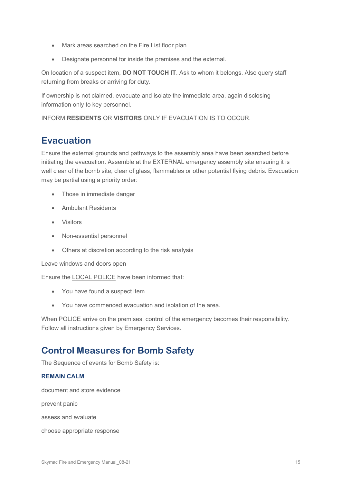- Mark areas searched on the Fire List floor plan
- Designate personnel for inside the premises and the external.

On location of a suspect item, **DO NOT TOUCH IT**. Ask to whom it belongs. Also query staff returning from breaks or arriving for duty.

If ownership is not claimed, evacuate and isolate the immediate area, again disclosing information only to key personnel.

INFORM **RESIDENTS** OR **VISITORS** ONLY IF EVACUATION IS TO OCCUR.

# <span id="page-14-0"></span>**Evacuation**

Ensure the external grounds and pathways to the assembly area have been searched before initiating the evacuation. Assemble at the EXTERNAL emergency assembly site ensuring it is well clear of the bomb site, clear of glass, flammables or other potential flying debris. Evacuation may be partial using a priority order:

- Those in immediate danger
- Ambulant Residents
- Visitors
- Non-essential personnel
- Others at discretion according to the risk analysis

Leave windows and doors open

Ensure the LOCAL POLICE have been informed that:

- You have found a suspect item
- You have commenced evacuation and isolation of the area.

When POLICE arrive on the premises, control of the emergency becomes their responsibility. Follow all instructions given by Emergency Services.

# <span id="page-14-1"></span>**Control Measures for Bomb Safety**

The Sequence of events for Bomb Safety is:

### **REMAIN CALM**

document and store evidence

prevent panic

assess and evaluate

choose appropriate response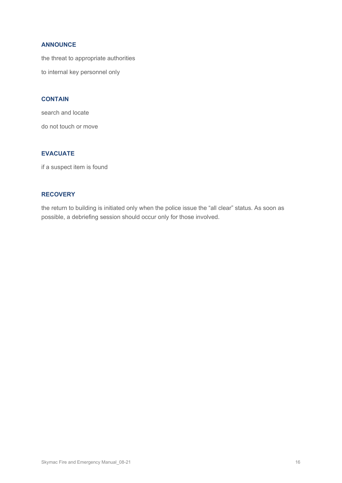### **ANNOUNCE**

the threat to appropriate authorities

to internal key personnel only

### **CONTAIN**

search and locate do not touch or move

### **EVACUATE**

if a suspect item is found

### **RECOVERY**

the return to building is initiated only when the police issue the "all clear" status. As soon as possible, a debriefing session should occur only for those involved.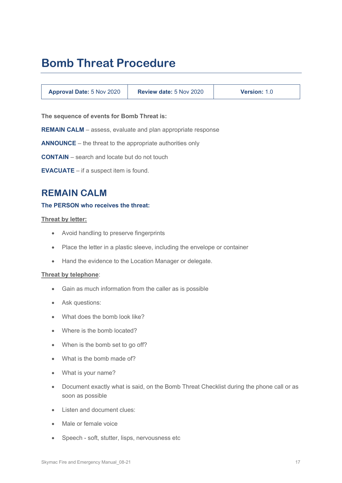# <span id="page-16-0"></span>**Bomb Threat Procedure**

| <b>Approval Date: 5 Nov 2020</b> | <b>Review date: 5 Nov 2020</b> | <b>Version: 1.0</b> |
|----------------------------------|--------------------------------|---------------------|
|----------------------------------|--------------------------------|---------------------|

**The sequence of events for Bomb Threat is:**

**REMAIN CALM** – assess, evaluate and plan appropriate response

**ANNOUNCE** – the threat to the appropriate authorities only

**CONTAIN** – search and locate but do not touch

**EVACUATE** – if a suspect item is found.

# <span id="page-16-1"></span>**REMAIN CALM**

### **The PERSON who receives the threat:**

#### **Threat by letter:**

- Avoid handling to preserve fingerprints
- Place the letter in a plastic sleeve, including the envelope or container
- Hand the evidence to the Location Manager or delegate.

### **Threat by telephone**:

- Gain as much information from the caller as is possible
- Ask questions:
- What does the bomb look like?
- Where is the bomb located?
- When is the bomb set to go off?
- What is the bomb made of?
- What is your name?
- Document exactly what is said, on the Bomb Threat Checklist during the phone call or as soon as possible
- Listen and document clues:
- Male or female voice
- Speech soft, stutter, lisps, nervousness etc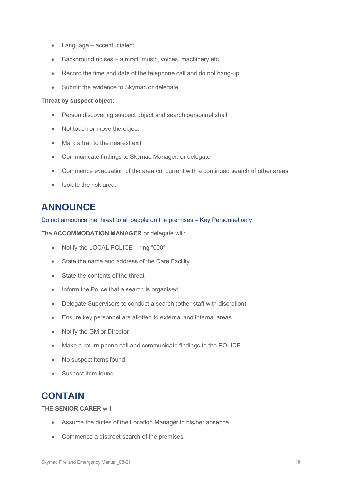- Language accent, dialect
- Background noises aircraft, music, voices, machinery etc.
- Record the time and date of the telephone call and do not hang-up
- Submit the evidence to Skymac or delegate.

### **Threat by suspect object:**

- Person discovering suspect object and search personnel shall
- Not touch or move the object
- Mark a trail to the nearest exit
- Communicate findings to Skymac Manager. or delegate
- Commence evacuation of the area concurrent with a continued search of other areas
- Isolate the risk area.

# <span id="page-17-0"></span>**ANNOUNCE**

Do not announce the threat to all people on the premises – Key Personnel only

The **ACCOMMODATION MANAGER** or delegate will:

- Notify the LOCAL POLICE ring "000"
- State the name and address of the Care Facility
- State the contents of the threat
- Inform the Police that a search is organised
- Delegate Supervisors to conduct a search (other staff with discretion)
- Ensure key personnel are allotted to external and internal areas
- Notify the GM or Director
- Make a return phone call and communicate findings to the POLICE
- No suspect items found
- Suspect item found.

# <span id="page-17-1"></span>**CONTAIN**

THE **SENIOR CARER** will:

- Assume the duties of the Location Manager in his/her absence
- Commence a discreet search of the premises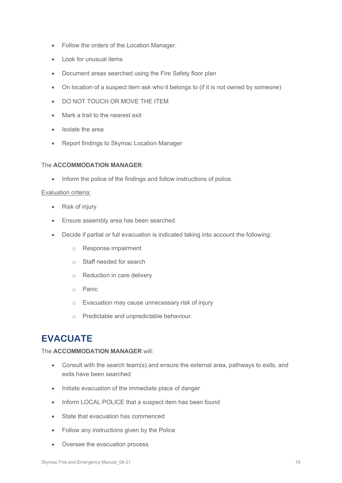- Follow the orders of the Location Manager.
- Look for unusual items
- Document areas searched using the Fire Safety floor plan
- On location of a suspect item ask who it belongs to (if it is not owned by someone)
- DO NOT TOUCH OR MOVE THE ITEM
- Mark a trail to the nearest exit
- Isolate the area
- Report findings to Skymac Location Manager

### The **ACCOMMODATION MANAGER**:

• Inform the police of the findings and follow instructions of police.

#### Evaluation criteria:

- Risk of injury
- Ensure assembly area has been searched
- Decide if partial or full evacuation is indicated taking into account the following:
	- o Response impairment
	- o Staff needed for search
	- o Reduction in care delivery
	- o Panic
	- o Evacuation may cause unnecessary risk of injury
	- o Predictable and unpredictable behaviour.

# <span id="page-18-0"></span>**EVACUATE**

### The **ACCOMMODATION MANAGER** will:

- Consult with the search team(s) and ensure the external area, pathways to exits, and exits have been searched
- Initiate evacuation of the immediate place of danger
- Inform LOCAL POLICE that a suspect item has been found
- State that evacuation has commenced
- Follow any instructions given by the Police
- Oversee the evacuation process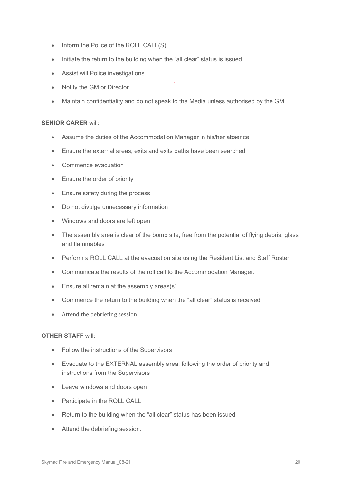- Inform the Police of the ROLL CALL(S)
- Initiate the return to the building when the "all clear" status is issued
- Assist will Police investigations
- Notify the GM or Director
- Maintain confidentiality and do not speak to the Media unless authorised by the GM

### **SENIOR CARER** will:

- Assume the duties of the Accommodation Manager in his/her absence
- Ensure the external areas, exits and exits paths have been searched
- Commence evacuation
- Ensure the order of priority
- Ensure safety during the process
- Do not divulge unnecessary information
- Windows and doors are left open
- The assembly area is clear of the bomb site, free from the potential of flying debris, glass and flammables
- Perform a ROLL CALL at the evacuation site using the Resident List and Staff Roster
- Communicate the results of the roll call to the Accommodation Manager.
- Ensure all remain at the assembly areas(s)
- Commence the return to the building when the "all clear" status is received
- Attend the debriefing session.

### **OTHER STAFF** will:

- Follow the instructions of the Supervisors
- Evacuate to the EXTERNAL assembly area, following the order of priority and instructions from the Supervisors
- Leave windows and doors open
- Participate in the ROLL CALL
- Return to the building when the "all clear" status has been issued
- Attend the debriefing session.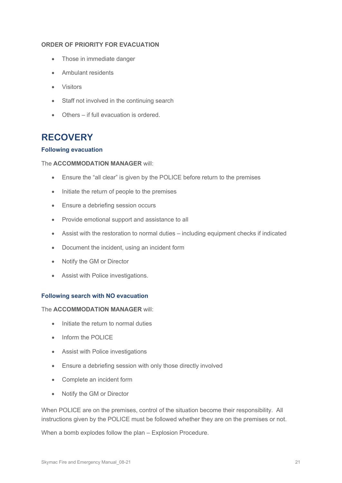### **ORDER OF PRIORITY FOR EVACUATION**

- Those in immediate danger
- Ambulant residents
- Visitors
- Staff not involved in the continuing search
- Others if full evacuation is ordered.

# <span id="page-20-0"></span>**RECOVERY**

### **Following evacuation**

### The **ACCOMMODATION MANAGER** will:

- Ensure the "all clear" is given by the POLICE before return to the premises
- Initiate the return of people to the premises
- Ensure a debriefing session occurs
- Provide emotional support and assistance to all
- Assist with the restoration to normal duties including equipment checks if indicated
- Document the incident, using an incident form
- Notify the GM or Director
- Assist with Police investigations.

### **Following search with NO evacuation**

### The **ACCOMMODATION MANAGER** will:

- Initiate the return to normal duties
- Inform the POLICE
- Assist with Police investigations
- Ensure a debriefing session with only those directly involved
- Complete an incident form
- Notify the GM or Director

When POLICE are on the premises, control of the situation become their responsibility. All instructions given by the POLICE must be followed whether they are on the premises or not.

When a bomb explodes follow the plan – Explosion Procedure.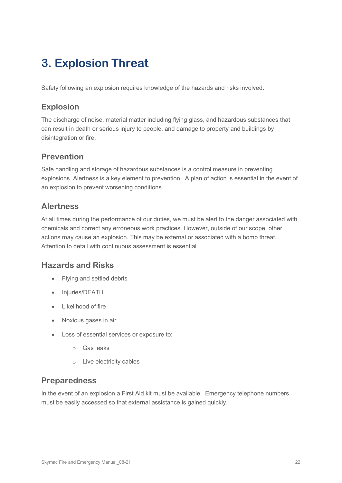# <span id="page-21-0"></span>**3. Explosion Threat**

Safety following an explosion requires knowledge of the hazards and risks involved.

### **Explosion**

The discharge of noise, material matter including flying glass, and hazardous substances that can result in death or serious injury to people, and damage to property and buildings by disintegration or fire.

# **Prevention**

Safe handling and storage of hazardous substances is a control measure in preventing explosions. Alertness is a key element to prevention. A plan of action is essential in the event of an explosion to prevent worsening conditions.

# **Alertness**

At all times during the performance of our duties, we must be alert to the danger associated with chemicals and correct any erroneous work practices. However, outside of our scope, other actions may cause an explosion. This may be external or associated with a bomb threat. Attention to detail with continuous assessment is essential.

### **Hazards and Risks**

- Flying and settled debris
- Injuries/DEATH
- Likelihood of fire
- Noxious gases in air
- Loss of essential services or exposure to:
	- o Gas leaks
	- o Live electricity cables

### **Preparedness**

In the event of an explosion a First Aid kit must be available. Emergency telephone numbers must be easily accessed so that external assistance is gained quickly.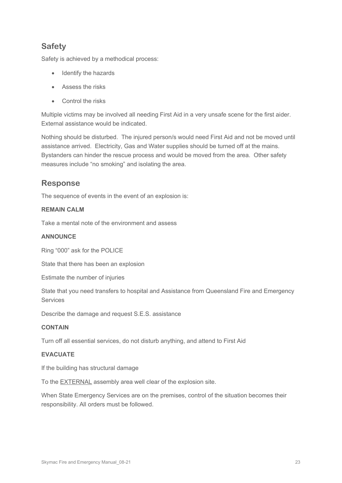### **Safety**

Safety is achieved by a methodical process:

- Identify the hazards
- Assess the risks
- Control the risks

Multiple victims may be involved all needing First Aid in a very unsafe scene for the first aider. External assistance would be indicated.

Nothing should be disturbed. The injured person/s would need First Aid and not be moved until assistance arrived. Electricity, Gas and Water supplies should be turned off at the mains. Bystanders can hinder the rescue process and would be moved from the area. Other safety measures include "no smoking" and isolating the area.

### **Response**

The sequence of events in the event of an explosion is:

### **REMAIN CALM**

Take a mental note of the environment and assess

### **ANNOUNCE**

Ring "000" ask for the POLICE

State that there has been an explosion

Estimate the number of injuries

State that you need transfers to hospital and Assistance from Queensland Fire and Emergency Services

Describe the damage and request S.E.S. assistance

### **CONTAIN**

Turn off all essential services, do not disturb anything, and attend to First Aid

### **EVACUATE**

If the building has structural damage

To the EXTERNAL assembly area well clear of the explosion site.

When State Emergency Services are on the premises, control of the situation becomes their responsibility. All orders must be followed.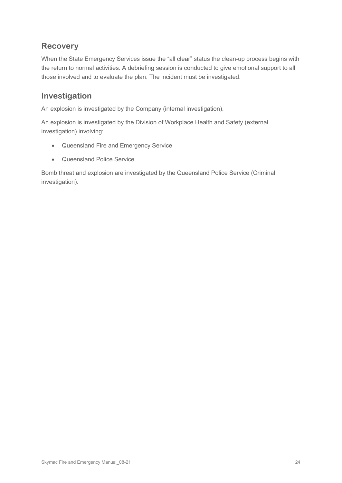### **Recovery**

When the State Emergency Services issue the "all clear" status the clean-up process begins with the return to normal activities. A debriefing session is conducted to give emotional support to all those involved and to evaluate the plan. The incident must be investigated.

### **Investigation**

An explosion is investigated by the Company (internal investigation).

An explosion is investigated by the Division of Workplace Health and Safety (external investigation) involving:

- Queensland Fire and Emergency Service
- Queensland Police Service

Bomb threat and explosion are investigated by the Queensland Police Service (Criminal investigation).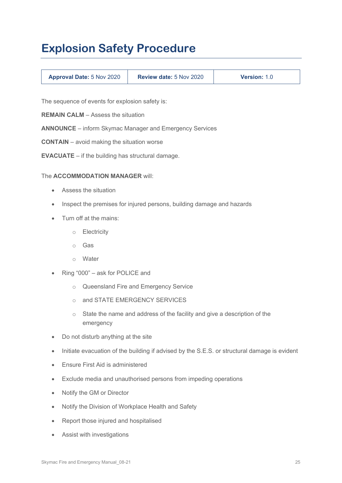# <span id="page-24-0"></span>**Explosion Safety Procedure**

| <b>Approval Date: 5 Nov 2020</b> | <b>Review date: 5 Nov 2020</b><br><b>Version: 1.0</b> |
|----------------------------------|-------------------------------------------------------|
|----------------------------------|-------------------------------------------------------|

The sequence of events for explosion safety is:

**REMAIN CALM** – Assess the situation

**ANNOUNCE** – inform Skymac Manager and Emergency Services

**CONTAIN** – avoid making the situation worse

**EVACUATE** – if the building has structural damage.

### The **ACCOMMODATION MANAGER** will:

- Assess the situation
- Inspect the premises for injured persons, building damage and hazards
- Turn off at the mains:
	- o Electricity
	- o Gas
	- o Water
- Ring "000" ask for POLICE and
	- o Queensland Fire and Emergency Service
	- o and STATE EMERGENCY SERVICES
	- o State the name and address of the facility and give a description of the emergency
- Do not disturb anything at the site
- Initiate evacuation of the building if advised by the S.E.S. or structural damage is evident
- Ensure First Aid is administered
- Exclude media and unauthorised persons from impeding operations
- Notify the GM or Director
- Notify the Division of Workplace Health and Safety
- Report those injured and hospitalised
- Assist with investigations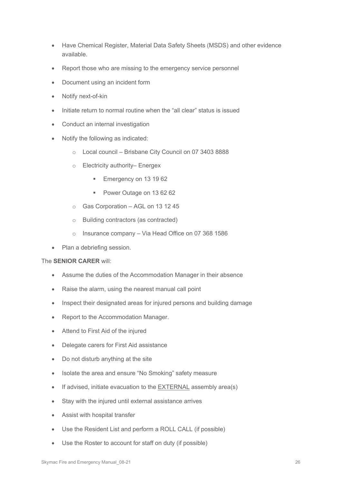- Have Chemical Register, Material Data Safety Sheets (MSDS) and other evidence available.
- Report those who are missing to the emergency service personnel
- Document using an incident form
- Notify next-of-kin
- Initiate return to normal routine when the "all clear" status is issued
- Conduct an internal investigation
- Notify the following as indicated:
	- o Local council Brisbane City Council on 07 3403 8888
	- o Electricity authority– Energex
		- Emergency on 13 19 62
		- Power Outage on 13 62 62
	- o Gas Corporation AGL on 13 12 45
	- o Building contractors (as contracted)
	- o Insurance company Via Head Office on 07 368 1586
- Plan a debriefing session.

### The **SENIOR CARER** will:

- Assume the duties of the Accommodation Manager in their absence
- Raise the alarm, using the nearest manual call point
- Inspect their designated areas for injured persons and building damage
- Report to the Accommodation Manager.
- Attend to First Aid of the injured
- Delegate carers for First Aid assistance
- Do not disturb anything at the site
- Isolate the area and ensure "No Smoking" safety measure
- If advised, initiate evacuation to the **EXTERNAL** assembly area(s)
- Stay with the injured until external assistance arrives
- Assist with hospital transfer
- Use the Resident List and perform a ROLL CALL (if possible)
- Use the Roster to account for staff on duty (if possible)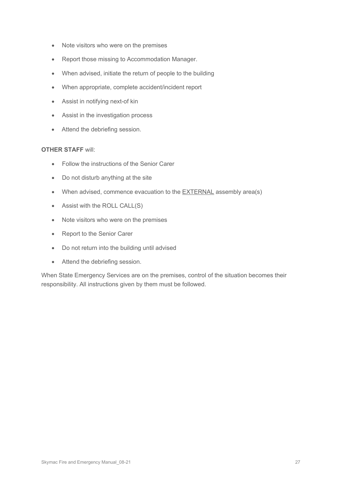- Note visitors who were on the premises
- Report those missing to Accommodation Manager.
- When advised, initiate the return of people to the building
- When appropriate, complete accident/incident report
- Assist in notifying next-of kin
- Assist in the investigation process
- Attend the debriefing session.

### **OTHER STAFF** will:

- Follow the instructions of the Senior Carer
- Do not disturb anything at the site
- When advised, commence evacuation to the **EXTERNAL** assembly area(s)
- Assist with the ROLL CALL(S)
- Note visitors who were on the premises
- Report to the Senior Carer
- Do not return into the building until advised
- Attend the debriefing session.

When State Emergency Services are on the premises, control of the situation becomes their responsibility. All instructions given by them must be followed.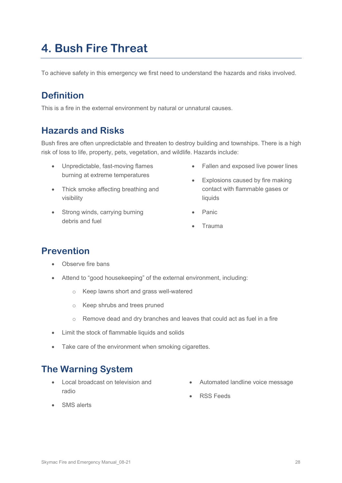# <span id="page-27-0"></span>**4. Bush Fire Threat**

To achieve safety in this emergency we first need to understand the hazards and risks involved.

# <span id="page-27-1"></span>**Definition**

This is a fire in the external environment by natural or unnatural causes.

# <span id="page-27-2"></span>**Hazards and Risks**

Bush fires are often unpredictable and threaten to destroy building and townships. There is a high risk of loss to life, property, pets, vegetation, and wildlife. Hazards include:

- Unpredictable, fast-moving flames burning at extreme temperatures
- Thick smoke affecting breathing and visibility
- Strong winds, carrying burning debris and fuel
- Fallen and exposed live power lines
- Explosions caused by fire making contact with flammable gases or liquids
- Panic
- Trauma

# <span id="page-27-3"></span>**Prevention**

- Observe fire bans
- Attend to "good housekeeping" of the external environment, including:
	- o Keep lawns short and grass well-watered
	- o Keep shrubs and trees pruned
	- o Remove dead and dry branches and leaves that could act as fuel in a fire
- Limit the stock of flammable liquids and solids
- Take care of the environment when smoking cigarettes.

# <span id="page-27-4"></span>**The Warning System**

- Local broadcast on television and radio
- Automated landline voice message
- RSS Feeds

• SMS alerts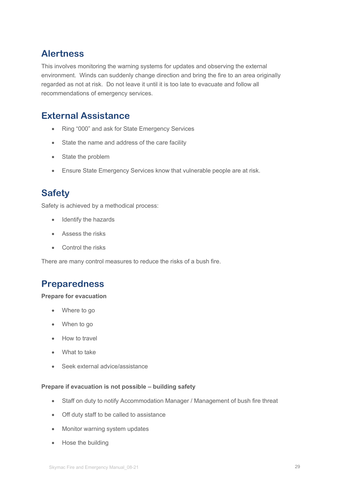# <span id="page-28-0"></span>**Alertness**

This involves monitoring the warning systems for updates and observing the external environment. Winds can suddenly change direction and bring the fire to an area originally regarded as not at risk. Do not leave it until it is too late to evacuate and follow all recommendations of emergency services.

# <span id="page-28-1"></span>**External Assistance**

- Ring "000" and ask for State Emergency Services
- State the name and address of the care facility
- State the problem
- Ensure State Emergency Services know that vulnerable people are at risk.

# <span id="page-28-2"></span>**Safety**

Safety is achieved by a methodical process:

- Identify the hazards
- Assess the risks
- Control the risks

There are many control measures to reduce the risks of a bush fire.

# <span id="page-28-3"></span>**Preparedness**

### **Prepare for evacuation**

- Where to go
- When to go
- How to travel
- What to take
- Seek external advice/assistance

### **Prepare if evacuation is not possible – building safety**

- Staff on duty to notify Accommodation Manager / Management of bush fire threat
- Off duty staff to be called to assistance
- Monitor warning system updates
- Hose the building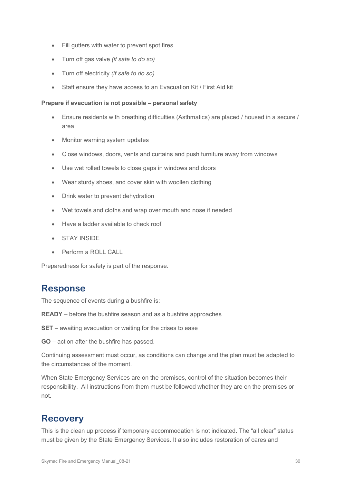- Fill gutters with water to prevent spot fires
- Turn off gas valve *(if safe to do so)*
- Turn off electricity *(if safe to do so)*
- Staff ensure they have access to an Evacuation Kit / First Aid kit

### **Prepare if evacuation is not possible – personal safety**

- Ensure residents with breathing difficulties (Asthmatics) are placed / housed in a secure / area
- Monitor warning system updates
- Close windows, doors, vents and curtains and push furniture away from windows
- Use wet rolled towels to close gaps in windows and doors
- Wear sturdy shoes, and cover skin with woollen clothing
- Drink water to prevent dehydration
- Wet towels and cloths and wrap over mouth and nose if needed
- Have a ladder available to check roof
- STAY INSIDE
- Perform a ROLL CALL

Preparedness for safety is part of the response.

# <span id="page-29-0"></span>**Response**

The sequence of events during a bushfire is:

**READY** – before the bushfire season and as a bushfire approaches

**SET** – awaiting evacuation or waiting for the crises to ease

**GO** – action after the bushfire has passed.

Continuing assessment must occur, as conditions can change and the plan must be adapted to the circumstances of the moment.

When State Emergency Services are on the premises, control of the situation becomes their responsibility. All instructions from them must be followed whether they are on the premises or not.

# <span id="page-29-1"></span>**Recovery**

This is the clean up process if temporary accommodation is not indicated. The "all clear" status must be given by the State Emergency Services. It also includes restoration of cares and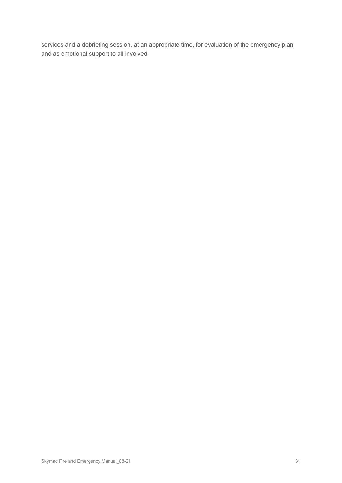services and a debriefing session, at an appropriate time, for evaluation of the emergency plan and as emotional support to all involved.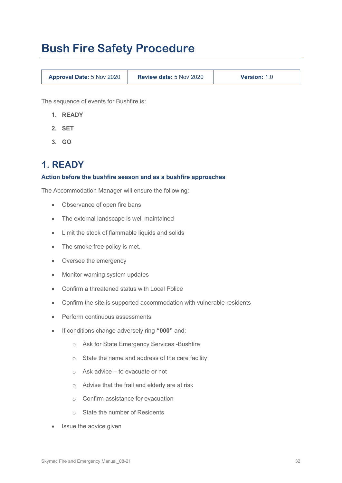# <span id="page-31-0"></span>**Bush Fire Safety Procedure**

**Approval Date:** 5 Nov 2020 **Review date:** 5 Nov 2020 **Version:** 1.0

The sequence of events for Bushfire is:

- **1. READY**
- **2. SET**
- **3. GO**

# <span id="page-31-1"></span>**1. READY**

### **Action before the bushfire season and as a bushfire approaches**

The Accommodation Manager will ensure the following:

- Observance of open fire bans
- The external landscape is well maintained
- Limit the stock of flammable liquids and solids
- The smoke free policy is met.
- Oversee the emergency
- Monitor warning system updates
- Confirm a threatened status with Local Police
- Confirm the site is supported accommodation with vulnerable residents
- Perform continuous assessments
- If conditions change adversely ring **"000"** and:
	- o Ask for State Emergency Services -Bushfire
	- o State the name and address of the care facility
	- o Ask advice to evacuate or not
	- o Advise that the frail and elderly are at risk
	- o Confirm assistance for evacuation
	- o State the number of Residents
- **Issue the advice given**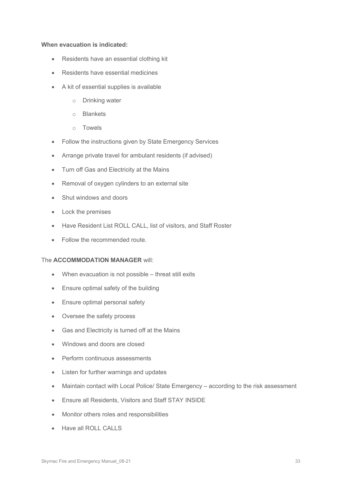### **When evacuation is indicated:**

- Residents have an essential clothing kit
- Residents have essential medicines
- A kit of essential supplies is available
	- o Drinking water
	- o Blankets
	- o Towels
- Follow the instructions given by State Emergency Services
- Arrange private travel for ambulant residents (if advised)
- Turn off Gas and Electricity at the Mains
- Removal of oxygen cylinders to an external site
- Shut windows and doors
- Lock the premises
- Have Resident List ROLL CALL, list of visitors, and Staff Roster
- Follow the recommended route.

### The **ACCOMMODATION MANAGER** will:

- When evacuation is not possible threat still exits
- Ensure optimal safety of the building
- Ensure optimal personal safety
- Oversee the safety process
- Gas and Electricity is turned off at the Mains
- Windows and doors are closed
- Perform continuous assessments
- Listen for further warnings and updates
- Maintain contact with Local Police/ State Emergency according to the risk assessment
- Ensure all Residents, Visitors and Staff STAY INSIDE
- Monitor others roles and responsibilities
- Have all ROLL CALLS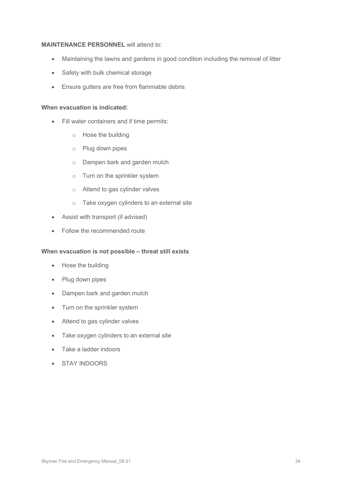### **MAINTENANCE PERSONNEL** will attend to:

- Maintaining the lawns and gardens in good condition including the removal of litter
- Safety with bulk chemical storage
- Ensure gutters are free from flammable debris

### **When evacuation is indicated:**

- Fill water containers and if time permits:
	- o Hose the building
	- o Plug down pipes
	- o Dampen bark and garden mulch
	- o Turn on the sprinkler system
	- o Attend to gas cylinder valves
	- o Take oxygen cylinders to an external site
- Assist with transport (if advised)
- Follow the recommended route

### **When evacuation is not possible – threat still exists**

- Hose the building
- Plug down pipes
- Dampen bark and garden mulch
- Turn on the sprinkler system
- Attend to gas cylinder valves
- Take oxygen cylinders to an external site
- Take a ladder indoors
- STAY INDOORS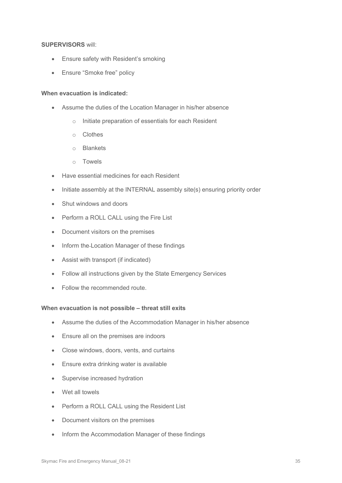### **SUPERVISORS** will:

- Ensure safety with Resident's smoking
- Ensure "Smoke free" policy

### **When evacuation is indicated:**

- Assume the duties of the Location Manager in his/her absence
	- o Initiate preparation of essentials for each Resident
	- o Clothes
	- o Blankets
	- o Towels
- Have essential medicines for each Resident
- Initiate assembly at the INTERNAL assembly site(s) ensuring priority order
- Shut windows and doors
- Perform a ROLL CALL using the Fire List
- Document visitors on the premises
- Inform the Location Manager of these findings
- Assist with transport (if indicated)
- Follow all instructions given by the State Emergency Services
- Follow the recommended route.

### **When evacuation is not possible – threat still exits**

- Assume the duties of the Accommodation Manager in his/her absence
- Ensure all on the premises are indoors
- Close windows, doors, vents, and curtains
- Ensure extra drinking water is available
- Supervise increased hydration
- Wet all towels
- Perform a ROLL CALL using the Resident List
- Document visitors on the premises
- Inform the Accommodation Manager of these findings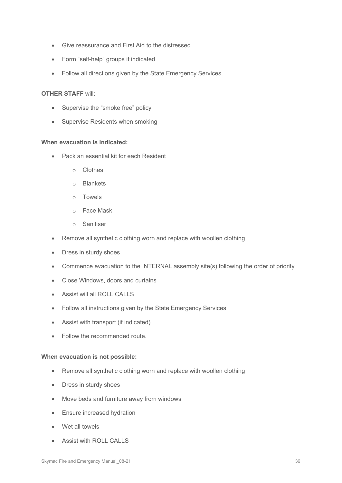- Give reassurance and First Aid to the distressed
- Form "self-help" groups if indicated
- Follow all directions given by the State Emergency Services.

#### **OTHER STAFF** will:

- Supervise the "smoke free" policy
- Supervise Residents when smoking

### **When evacuation is indicated:**

- Pack an essential kit for each Resident
	- o Clothes
	- o Blankets
	- o Towels
	- o Face Mask
	- o Sanitiser
- Remove all synthetic clothing worn and replace with woollen clothing
- Dress in sturdy shoes
- Commence evacuation to the INTERNAL assembly site(s) following the order of priority
- Close Windows, doors and curtains
- Assist will all ROLL CALLS
- Follow all instructions given by the State Emergency Services
- Assist with transport (if indicated)
- Follow the recommended route.

### **When evacuation is not possible:**

- Remove all synthetic clothing worn and replace with woollen clothing
- Dress in sturdy shoes
- Move beds and furniture away from windows
- Ensure increased hydration
- Wet all towels
- **Assist with ROLL CALLS**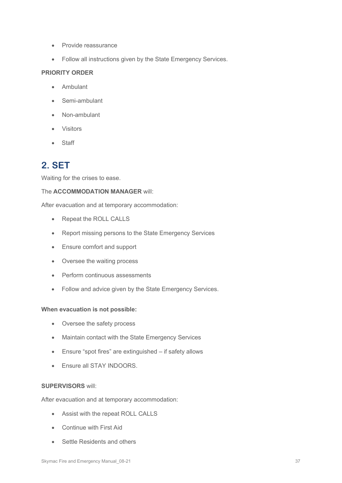- Provide reassurance
- Follow all instructions given by the State Emergency Services.

### **PRIORITY ORDER**

- Ambulant
- Semi-ambulant
- Non-ambulant
- Visitors
- Staff

### **2. SET**

Waiting for the crises to ease.

### The **ACCOMMODATION MANAGER** will:

After evacuation and at temporary accommodation:

- Repeat the ROLL CALLS
- Report missing persons to the State Emergency Services
- Ensure comfort and support
- Oversee the waiting process
- Perform continuous assessments
- Follow and advice given by the State Emergency Services.

#### **When evacuation is not possible:**

- Oversee the safety process
- Maintain contact with the State Emergency Services
- Ensure "spot fires" are extinguished if safety allows
- Ensure all STAY INDOORS.

### **SUPERVISORS** will:

After evacuation and at temporary accommodation:

- Assist with the repeat ROLL CALLS
- Continue with First Aid
- Settle Residents and others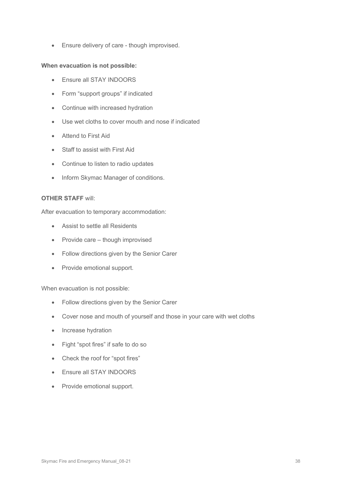• Ensure delivery of care - though improvised.

### **When evacuation is not possible:**

- Ensure all STAY INDOORS
- Form "support groups" if indicated
- Continue with increased hydration
- Use wet cloths to cover mouth and nose if indicated
- Attend to First Aid
- Staff to assist with First Aid
- Continue to listen to radio updates
- Inform Skymac Manager of conditions.

#### **OTHER STAFF** will:

After evacuation to temporary accommodation:

- Assist to settle all Residents
- Provide care though improvised
- Follow directions given by the Senior Carer
- Provide emotional support.

#### When evacuation is not possible:

- Follow directions given by the Senior Carer
- Cover nose and mouth of yourself and those in your care with wet cloths
- Increase hydration
- Fight "spot fires" if safe to do so
- Check the roof for "spot fires"
- Ensure all STAY INDOORS
- Provide emotional support.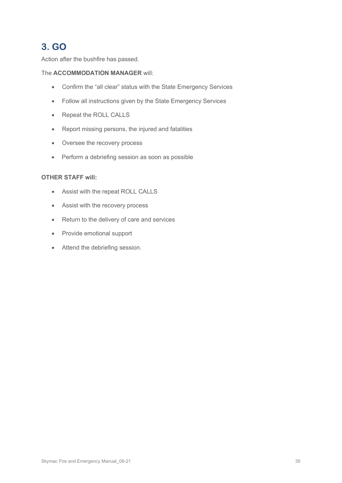## **3. GO**

Action after the bushfire has passed.

### The **ACCOMMODATION MANAGER** will:

- Confirm the "all clear" status with the State Emergency Services
- Follow all instructions given by the State Emergency Services
- Repeat the ROLL CALLS
- Report missing persons, the injured and fatalities
- Oversee the recovery process
- Perform a debriefing session as soon as possible

### **OTHER STAFF will:**

- Assist with the repeat ROLL CALLS
- Assist with the recovery process
- Return to the delivery of care and services
- Provide emotional support
- Attend the debriefing session.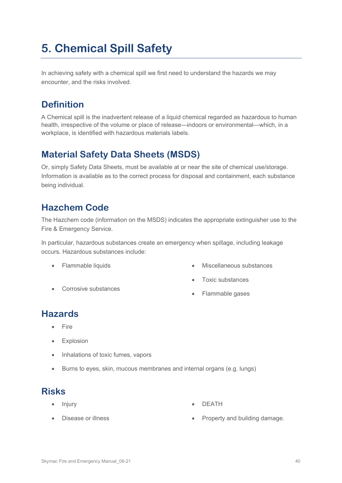# **5. Chemical Spill Safety**

In achieving safety with a chemical spill we first need to understand the hazards we may encounter, and the risks involved.

## **Definition**

A Chemical spill is the inadvertent release of a liquid chemical regarded as hazardous to human health, irrespective of the volume or place of release—indoors or environmental—which, in a workplace, is identified with hazardous materials labels.

## **Material Safety Data Sheets (MSDS)**

Or, simply Safety Data Sheets, must be available at or near the site of chemical use/storage. Information is available as to the correct process for disposal and containment, each substance being individual.

## **Hazchem Code**

The Hazchem code (information on the MSDS) indicates the appropriate extinguisher use to the Fire & Emergency Service.

In particular, hazardous substances create an emergency when spillage, including leakage occurs. Hazardous substances include:

- Flammable liquids
- Corrosive substances
- Miscellaneous substances
- Toxic substances
- Flammable gases

## **Hazards**

- **Fire**
- Explosion
- Inhalations of toxic fumes, vapors
- Burns to eyes, skin, mucous membranes and internal organs (e.g. lungs)

## **Risks**

• Injury

- **DEATH**
- Disease or illness • Property and building damage.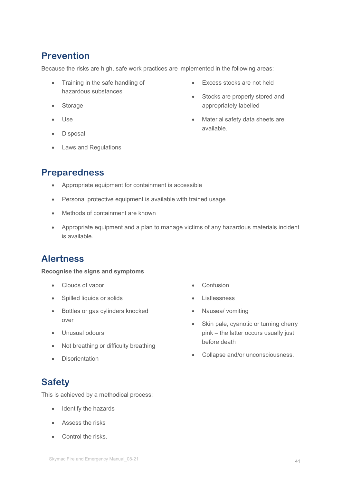## **Prevention**

Because the risks are high, safe work practices are implemented in the following areas:

- Training in the safe handling of hazardous substances
- Storage
- Use
- **Disposal**
- Laws and Regulations
- Excess stocks are not held
- Stocks are properly stored and appropriately labelled
- Material safety data sheets are available.

## **Preparedness**

- Appropriate equipment for containment is accessible
- Personal protective equipment is available with trained usage
- Methods of containment are known
- Appropriate equipment and a plan to manage victims of any hazardous materials incident is available.

## **Alertness**

### **Recognise the signs and symptoms**

- Clouds of vapor
- Spilled liquids or solids
- Bottles or gas cylinders knocked over
- Unusual odours
- Not breathing or difficulty breathing
- Disorientation

## **Safety**

This is achieved by a methodical process:

- Identify the hazards
- Assess the risks
- Control the risks.
- **Confusion**
- **Listlessness**
- Nausea/ vomiting
- Skin pale, cyanotic or turning cherry pink – the latter occurs usually just before death
- Collapse and/or unconsciousness.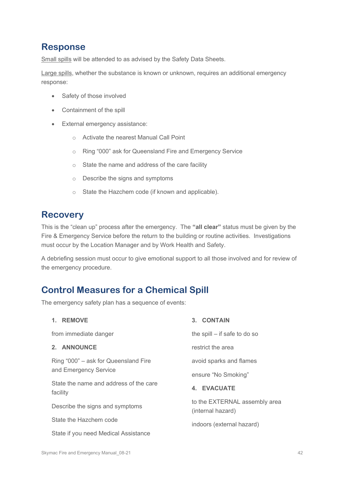## **Response**

Small spills will be attended to as advised by the Safety Data Sheets.

Large spills, whether the substance is known or unknown, requires an additional emergency response:

- Safety of those involved
- Containment of the spill
- External emergency assistance:
	- o Activate the nearest Manual Call Point
	- o Ring "000" ask for Queensland Fire and Emergency Service
	- o State the name and address of the care facility
	- o Describe the signs and symptoms
	- o State the Hazchem code (if known and applicable).

## **Recovery**

This is the "clean up" process after the emergency. The **"all clear"** status must be given by the Fire & Emergency Service before the return to the building or routine activities. Investigations must occur by the Location Manager and by Work Health and Safety.

A debriefing session must occur to give emotional support to all those involved and for review of the emergency procedure.

## **Control Measures for a Chemical Spill**

The emergency safety plan has a sequence of events:

| 1. REMOVE                                          | 3. CONTAIN                                         |
|----------------------------------------------------|----------------------------------------------------|
| from immediate danger                              | the spill $-$ if safe to do so                     |
| 2. ANNOUNCE                                        | restrict the area                                  |
| Ring "000" – ask for Queensland Fire               | avoid sparks and flames                            |
| and Emergency Service                              | ensure "No Smoking"                                |
| State the name and address of the care<br>facility | 4. EVACUATE                                        |
| Describe the signs and symptoms                    | to the EXTERNAL assembly area<br>(internal hazard) |
| State the Hazchem code                             | indoors (external hazard)                          |
| State if you need Medical Assistance               |                                                    |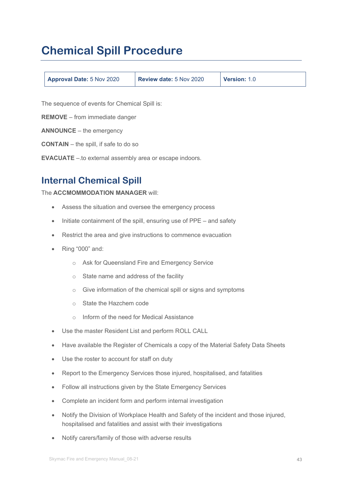# **Chemical Spill Procedure**

| <b>Approval Date: 5 Nov 2020</b> | Review date: 5 Nov 2020 | Version: 1.0 |
|----------------------------------|-------------------------|--------------|
|----------------------------------|-------------------------|--------------|

The sequence of events for Chemical Spill is:

**REMOVE** – from immediate danger

**ANNOUNCE** – the emergency

**CONTAIN** – the spill, if safe to do so

**EVACUATE** –.to external assembly area or escape indoors.

## **Internal Chemical Spill**

The **ACCMOMMODATION MANAGER** will:

- Assess the situation and oversee the emergency process
- Initiate containment of the spill, ensuring use of PPE and safety
- Restrict the area and give instructions to commence evacuation
- Ring "000" and:
	- o Ask for Queensland Fire and Emergency Service
	- o State name and address of the facility
	- o Give information of the chemical spill or signs and symptoms
	- o State the Hazchem code
	- o Inform of the need for Medical Assistance
- Use the master Resident List and perform ROLL CALL
- Have available the Register of Chemicals a copy of the Material Safety Data Sheets
- Use the roster to account for staff on duty
- Report to the Emergency Services those injured, hospitalised, and fatalities
- Follow all instructions given by the State Emergency Services
- Complete an incident form and perform internal investigation
- Notify the Division of Workplace Health and Safety of the incident and those injured, hospitalised and fatalities and assist with their investigations
- Notify carers/family of those with adverse results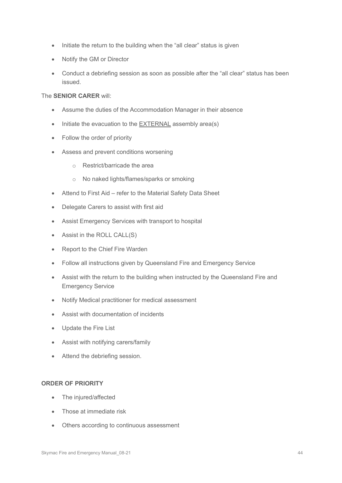- Initiate the return to the building when the "all clear" status is given
- Notify the GM or Director
- Conduct a debriefing session as soon as possible after the "all clear" status has been issued.

### The **SENIOR CARER** will:

- Assume the duties of the Accommodation Manager in their absence
- Initiate the evacuation to the EXTERNAL assembly area(s)
- Follow the order of priority
- Assess and prevent conditions worsening
	- o Restrict/barricade the area
	- o No naked lights/flames/sparks or smoking
- Attend to First Aid refer to the Material Safety Data Sheet
- Delegate Carers to assist with first aid
- Assist Emergency Services with transport to hospital
- Assist in the ROLL CALL(S)
- Report to the Chief Fire Warden
- Follow all instructions given by Queensland Fire and Emergency Service
- Assist with the return to the building when instructed by the Queensland Fire and Emergency Service
- Notify Medical practitioner for medical assessment
- Assist with documentation of incidents
- Update the Fire List
- Assist with notifying carers/family
- Attend the debriefing session.

#### **ORDER OF PRIORITY**

- The injured/affected
- Those at immediate risk
- Others according to continuous assessment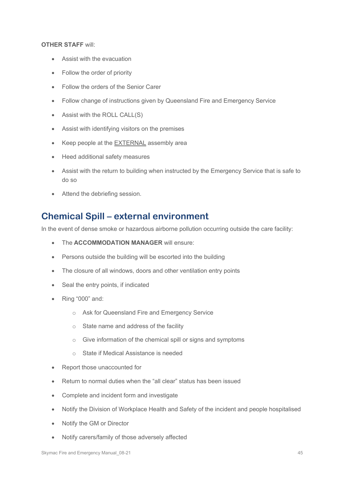### **OTHER STAFF** will:

- Assist with the evacuation
- Follow the order of priority
- Follow the orders of the Senior Carer
- Follow change of instructions given by Queensland Fire and Emergency Service
- Assist with the ROLL CALL(S)
- Assist with identifying visitors on the premises
- Keep people at the EXTERNAL assembly area
- Heed additional safety measures
- Assist with the return to building when instructed by the Emergency Service that is safe to do so
- Attend the debriefing session.

### **Chemical Spill – external environment**

In the event of dense smoke or hazardous airborne pollution occurring outside the care facility:

- The **ACCOMMODATION MANAGER** will ensure:
- Persons outside the building will be escorted into the building
- The closure of all windows, doors and other ventilation entry points
- Seal the entry points, if indicated
- Ring "000" and:
	- o Ask for Queensland Fire and Emergency Service
	- o State name and address of the facility
	- o Give information of the chemical spill or signs and symptoms
	- o State if Medical Assistance is needed
- Report those unaccounted for
- Return to normal duties when the "all clear" status has been issued
- Complete and incident form and investigate
- Notify the Division of Workplace Health and Safety of the incident and people hospitalised
- Notify the GM or Director
- Notify carers/family of those adversely affected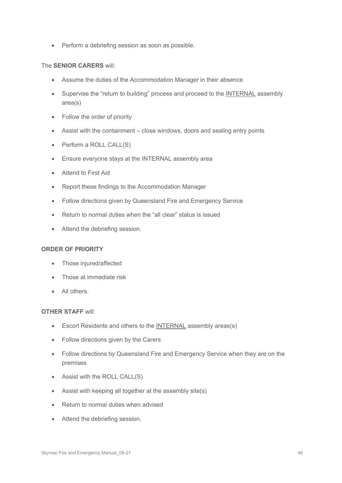• Perform a debriefing session as soon as possible.

### The **SENIOR CARERS** will:

- Assume the duties of the Accommodation Manager in their absence
- Supervise the "return to building" process and proceed to the INTERNAL assembly area(s)
- Follow the order of priority
- Assist with the containment close windows, doors and sealing entry points
- Perform a ROLL CALL(S)
- Ensure everyone stays at the INTERNAL assembly area
- Attend to First Aid
- Report these findings to the Accommodation Manager
- Follow directions given by Queensland Fire and Emergency Service
- Return to normal duties when the "all clear" status is issued
- Attend the debriefing session.

### **ORDER OF PRIORITY**

- Those injured/affected
- Those at immediate risk
- All others.

#### **OTHER STAFF** will:

- Escort Residents and others to the INTERNAL assembly areas(s)
- Follow directions given by the Carers
- Follow directions by Queensland Fire and Emergency Service when they are on the premises
- Assist with the ROLL CALL(S)
- Assist with keeping all together at the assembly site(s)
- Return to normal duties when advised
- Attend the debriefing session.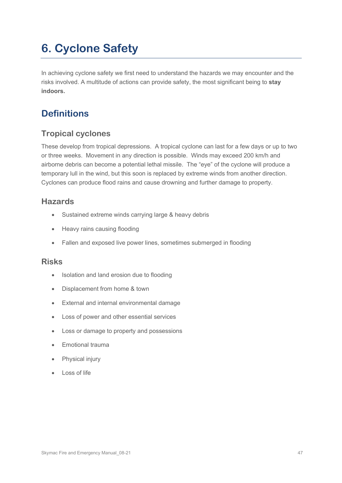# **6. Cyclone Safety**

In achieving cyclone safety we first need to understand the hazards we may encounter and the risks involved. A multitude of actions can provide safety, the most significant being to **stay indoors.**

## **Definitions**

### **Tropical cyclones**

These develop from tropical depressions. A tropical cyclone can last for a few days or up to two or three weeks. Movement in any direction is possible. Winds may exceed 200 km/h and airborne debris can become a potential lethal missile. The "eye" of the cyclone will produce a temporary lull in the wind, but this soon is replaced by extreme winds from another direction. Cyclones can produce flood rains and cause drowning and further damage to property.

### **Hazards**

- Sustained extreme winds carrying large & heavy debris
- Heavy rains causing flooding
- Fallen and exposed live power lines, sometimes submerged in flooding

### **Risks**

- Isolation and land erosion due to flooding
- Displacement from home & town
- External and internal environmental damage
- Loss of power and other essential services
- Loss or damage to property and possessions
- Emotional trauma
- Physical injury
- Loss of life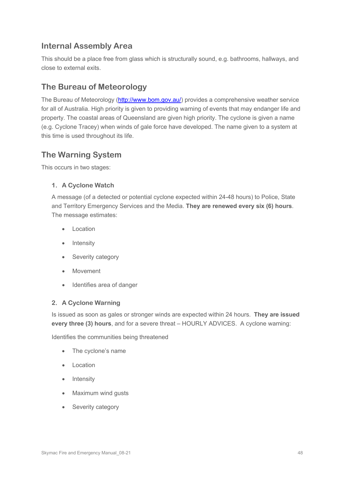### **Internal Assembly Area**

This should be a place free from glass which is structurally sound, e.g. bathrooms, hallways, and close to external exits.

### **The Bureau of Meteorology**

The Bureau of Meteorology [\(http://www.bom.gov.au/\)](http://www.bom.gov.au/) provides a comprehensive weather service for all of Australia. High priority is given to providing warning of events that may endanger life and property. The coastal areas of Queensland are given high priority. The cyclone is given a name (e.g. Cyclone Tracey) when winds of gale force have developed. The name given to a system at this time is used throughout its life.

### **The Warning System**

This occurs in two stages:

### **1. A Cyclone Watch**

A message (of a detected or potential cyclone expected within 24-48 hours) to Police, State and Territory Emergency Services and the Media. **They are renewed every six (6) hours**. The message estimates:

- **Location**
- **Intensity**
- Severity category
- **Movement**
- Identifies area of danger

### **2. A Cyclone Warning**

Is issued as soon as gales or stronger winds are expected within 24 hours. **They are issued every three (3) hours**, and for a severe threat – HOURLY ADVICES. A cyclone warning:

Identifies the communities being threatened

- The cyclone's name
- **Location**
- Intensity
- Maximum wind gusts
- Severity category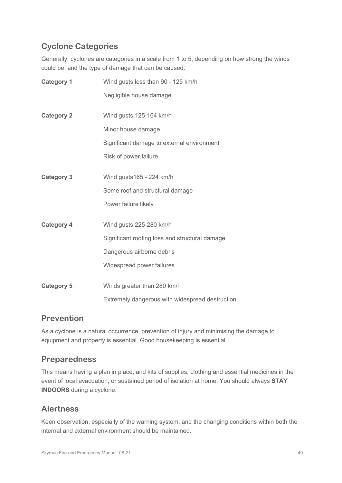### **Cyclone Categories**

Generally, cyclones are categories in a scale from 1 to 5, depending on how strong the winds could be, and the type of damage that can be caused.

| <b>Category 1</b> | Wind gusts less than 90 - 125 km/h               |
|-------------------|--------------------------------------------------|
|                   | Negligible house damage                          |
| <b>Category 2</b> | Wind gusts 125-164 km/h                          |
|                   | Minor house damage                               |
|                   | Significant damage to external environment       |
|                   | Risk of power failure                            |
| <b>Category 3</b> | Wind gusts165 - 224 km/h                         |
|                   | Some roof and structural damage                  |
|                   | Power failure likely                             |
| <b>Category 4</b> | Wind gusts 225-280 km/h                          |
|                   | Significant roofing loss and structural damage   |
|                   | Dangerous airborne debris                        |
|                   | Widespread power failures                        |
| <b>Category 5</b> | Winds greater than 280 km/h                      |
|                   | Extremely dangerous with widespread destruction. |

### **Prevention**

As a cyclone is a natural occurrence, prevention of injury and minimising the damage to equipment and property is essential. Good housekeeping is essential.

### **Preparedness**

This means having a plan in place, and kits of supplies, clothing and essential medicines in the event of local evacuation, or sustained period of isolation at home. You should always **STAY INDOORS** during a cyclone.

### **Alertness**

Keen observation, especially of the warning system, and the changing conditions within both the internal and external environment should be maintained.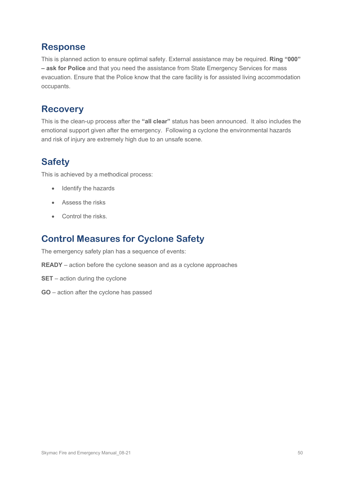## **Response**

This is planned action to ensure optimal safety. External assistance may be required. **Ring "000" – ask for Police** and that you need the assistance from State Emergency Services for mass evacuation. Ensure that the Police know that the care facility is for assisted living accommodation occupants.

## **Recovery**

This is the clean-up process after the **"all clear"** status has been announced. It also includes the emotional support given after the emergency. Following a cyclone the environmental hazards and risk of injury are extremely high due to an unsafe scene.

## **Safety**

This is achieved by a methodical process:

- Identify the hazards
- Assess the risks
- Control the risks

## **Control Measures for Cyclone Safety**

The emergency safety plan has a sequence of events:

**READY** – action before the cyclone season and as a cyclone approaches

- **SET** action during the cyclone
- **GO** action after the cyclone has passed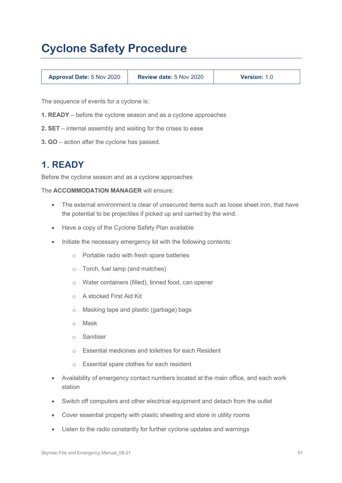# **Cyclone Safety Procedure**

| <b>Approval Date: 5 Nov 2020</b> | <b>Review date: 5 Nov 2020</b> | <b>Version: 1.0</b> |
|----------------------------------|--------------------------------|---------------------|
|                                  |                                |                     |

The sequence of events for a cyclone is:

- **1. READY** before the cyclone season and as a cyclone approaches
- **2. SET** internal assembly and waiting for the crises to ease
- **3. GO** action after the cyclone has passed.

### **1. READY**

Before the cyclone season and as a cyclone approaches

The **ACCOMMODATION MANAGER** will ensure:

- The external environment is clear of unsecured items such as loose sheet iron, that have the potential to be projectiles if picked up and carried by the wind.
- Have a copy of the Cyclone Safety Plan available
- Initiate the necessary emergency kit with the following contents:
	- o Portable radio with fresh spare batteries
	- o Torch, fuel lamp (and matches)
	- o Water containers (filled), tinned food, can opener
	- o A stocked First Aid Kit
	- o Masking tape and plastic (garbage) bags
	- o Mask
	- o Sanitiser
	- o Essential medicines and toiletries for each Resident
	- o Essential spare clothes for each resident
- Availability of emergency contact numbers located at the main office, and each work station
- Switch off computers and other electrical equipment and detach from the outlet
- Cover essential property with plastic sheeting and store in utility rooms
- Listen to the radio constantly for further cyclone updates and warnings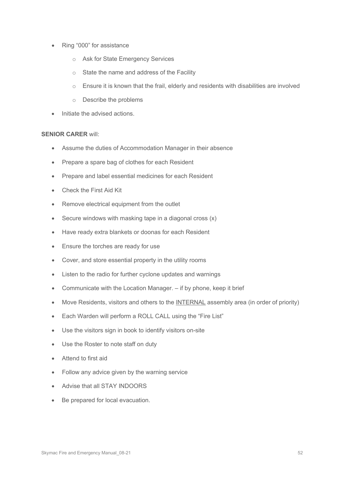- Ring "000" for assistance
	- o Ask for State Emergency Services
	- o State the name and address of the Facility
	- $\circ$  Ensure it is known that the frail, elderly and residents with disabilities are involved
	- o Describe the problems
- Initiate the advised actions.

#### **SENIOR CARER** will:

- Assume the duties of Accommodation Manager in their absence
- Prepare a spare bag of clothes for each Resident
- Prepare and label essential medicines for each Resident
- Check the First Aid Kit
- Remove electrical equipment from the outlet
- Secure windows with masking tape in a diagonal cross  $(x)$
- Have ready extra blankets or doonas for each Resident
- Ensure the torches are ready for use
- Cover, and store essential property in the utility rooms
- Listen to the radio for further cyclone updates and warnings
- Communicate with the Location Manager. if by phone, keep it brief
- Move Residents, visitors and others to the INTERNAL assembly area (in order of priority)
- Each Warden will perform a ROLL CALL using the "Fire List"
- Use the visitors sign in book to identify visitors on-site
- Use the Roster to note staff on duty
- Attend to first aid
- Follow any advice given by the warning service
- Advise that all STAY INDOORS
- Be prepared for local evacuation.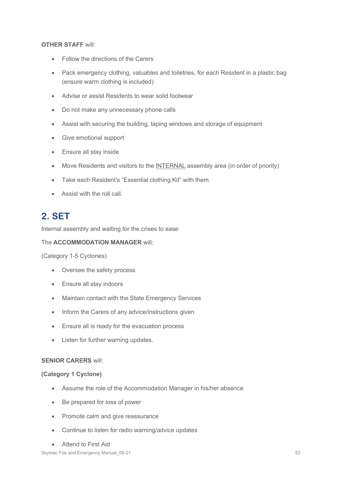### **OTHER STAFF** will:

- Follow the directions of the Carers
- Pack emergency clothing, valuables and toiletries, for each Resident in a plastic bag (ensure warm clothing is included)
- Advise or assist Residents to wear solid footwear
- Do not make any unnecessary phone calls
- Assist with securing the building, taping windows and storage of equipment
- Give emotional support
- Ensure all stay inside
- Move Residents and visitors to the INTERNAL assembly area (in order of priority)
- Take each Resident's "Essential clothing Kit" with them
- Assist with the roll call.

## **2. SET**

Internal assembly and waiting for the crises to ease

### The **ACCOMMODATION MANAGER** will:

(Category 1-5 Cyclones)

- Oversee the safety process
- Ensure all stay indoors
- Maintain contact with the State Emergency Services
- Inform the Carers of any advice/instructions given
- Ensure all is ready for the evacuation process
- Listen for further warning updates.

### **SENIOR CARERS** will:

### **(Category 1 Cyclone)**

- Assume the role of the Accommodation Manager in his/her absence
- Be prepared for loss of power
- Promote calm and give reassurance
- Continue to listen for radio warning/advice updates
- Attend to First Aid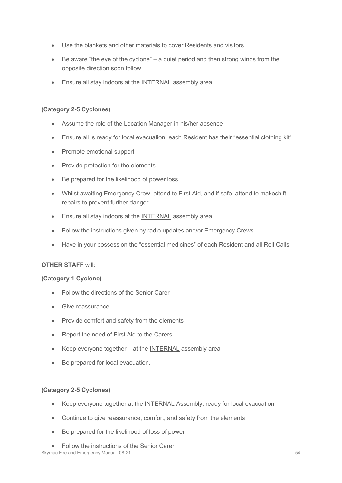- Use the blankets and other materials to cover Residents and visitors
- Be aware "the eye of the cyclone" a quiet period and then strong winds from the opposite direction soon follow
- Ensure all stay indoors at the INTERNAL assembly area.

### **(Category 2-5 Cyclones)**

- Assume the role of the Location Manager in his/her absence
- Ensure all is ready for local evacuation; each Resident has their "essential clothing kit"
- Promote emotional support
- Provide protection for the elements
- Be prepared for the likelihood of power loss
- Whilst awaiting Emergency Crew, attend to First Aid, and if safe, attend to makeshift repairs to prevent further danger
- Ensure all stay indoors at the INTERNAL assembly area
- Follow the instructions given by radio updates and/or Emergency Crews
- Have in your possession the "essential medicines" of each Resident and all Roll Calls.

### **OTHER STAFF** will:

### **(Category 1 Cyclone)**

- Follow the directions of the Senior Carer
- Give reassurance
- Provide comfort and safety from the elements
- Report the need of First Aid to the Carers
- Keep everyone together at the INTERNAL assembly area
- Be prepared for local evacuation.

### **(Category 2-5 Cyclones)**

- Keep everyone together at the INTERNAL Assembly, ready for local evacuation
- Continue to give reassurance, comfort, and safety from the elements
- Be prepared for the likelihood of loss of power
- Skymac Fire and Emergency Manual 08-21 54 September 2012 1: 54 • Follow the instructions of the Senior Carer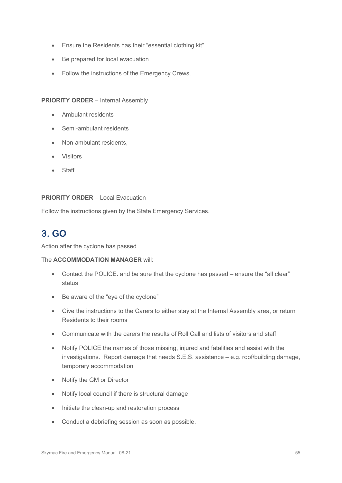- Ensure the Residents has their "essential clothing kit"
- Be prepared for local evacuation
- Follow the instructions of the Emergency Crews.

#### **PRIORITY ORDER** – Internal Assembly

- Ambulant residents
- Semi-ambulant residents
- Non-ambulant residents,
- Visitors
- Staff

#### **PRIORITY ORDER** – Local Evacuation

Follow the instructions given by the State Emergency Services.

## **3. GO**

Action after the cyclone has passed

#### The **ACCOMMODATION MANAGER** will:

- Contact the POLICE. and be sure that the cyclone has passed ensure the "all clear" status
- Be aware of the "eye of the cyclone"
- Give the instructions to the Carers to either stay at the Internal Assembly area, or return Residents to their rooms
- Communicate with the carers the results of Roll Call and lists of visitors and staff
- Notify POLICE the names of those missing, injured and fatalities and assist with the investigations. Report damage that needs S.E.S. assistance – e.g. roof/building damage, temporary accommodation
- Notify the GM or Director
- Notify local council if there is structural damage
- Initiate the clean-up and restoration process
- Conduct a debriefing session as soon as possible.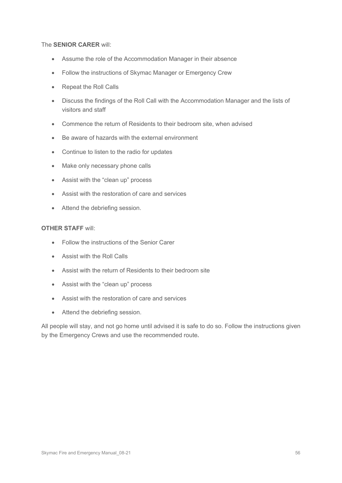### The **SENIOR CARER** will:

- Assume the role of the Accommodation Manager in their absence
- Follow the instructions of Skymac Manager or Emergency Crew
- Repeat the Roll Calls
- Discuss the findings of the Roll Call with the Accommodation Manager and the lists of visitors and staff
- Commence the return of Residents to their bedroom site, when advised
- Be aware of hazards with the external environment
- Continue to listen to the radio for updates
- Make only necessary phone calls
- Assist with the "clean up" process
- Assist with the restoration of care and services
- Attend the debriefing session.

### **OTHER STAFF** will:

- Follow the instructions of the Senior Carer
- Assist with the Roll Calls
- Assist with the return of Residents to their bedroom site
- Assist with the "clean up" process
- Assist with the restoration of care and services
- Attend the debriefing session.

All people will stay, and not go home until advised it is safe to do so. Follow the instructions given by the Emergency Crews and use the recommended route**.**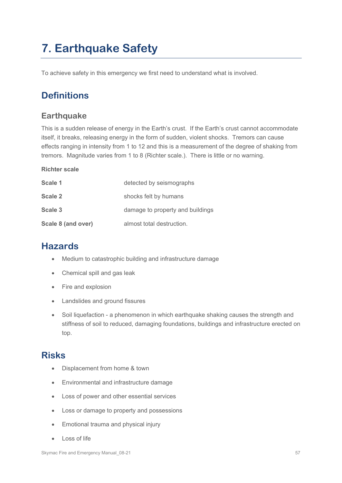# **7. Earthquake Safety**

To achieve safety in this emergency we first need to understand what is involved.

## **Definitions**

### **Earthquake**

This is a sudden release of energy in the Earth's crust. If the Earth's crust cannot accommodate itself, it breaks, releasing energy in the form of sudden, violent shocks. Tremors can cause effects ranging in intensity from 1 to 12 and this is a measurement of the degree of shaking from tremors. Magnitude varies from 1 to 8 (Richter scale.). There is little or no warning.

### **Richter scale**

| Scale 1            | detected by seismographs         |
|--------------------|----------------------------------|
| Scale 2            | shocks felt by humans            |
| Scale 3            | damage to property and buildings |
| Scale 8 (and over) | almost total destruction.        |

### **Hazards**

- Medium to catastrophic building and infrastructure damage
- Chemical spill and gas leak
- Fire and explosion
- Landslides and ground fissures
- Soil liquefaction a phenomenon in which earthquake shaking causes the strength and stiffness of soil to reduced, damaging foundations, buildings and infrastructure erected on top.

### **Risks**

- Displacement from home & town
- Environmental and infrastructure damage
- Loss of power and other essential services
- Loss or damage to property and possessions
- Emotional trauma and physical injury
- Loss of life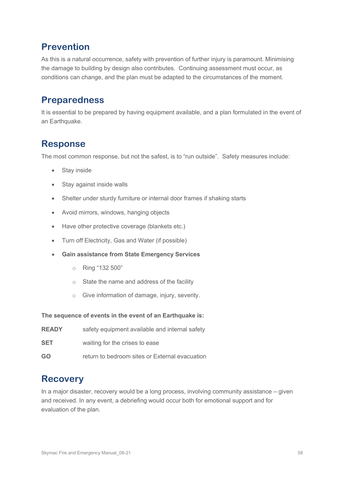## **Prevention**

As this is a natural occurrence, safety with prevention of further injury is paramount. Minimising the damage to building by design also contributes. Continuing assessment must occur, as conditions can change, and the plan must be adapted to the circumstances of the moment.

## **Preparedness**

It is essential to be prepared by having equipment available, and a plan formulated in the event of an Earthquake.

## **Response**

The most common response, but not the safest, is to "run outside". Safety measures include:

- Stay inside
- Stay against inside walls
- Shelter under sturdy furniture or internal door frames if shaking starts
- Avoid mirrors, windows, hanging objects
- Have other protective coverage (blankets etc.)
- Turn off Electricity, Gas and Water (if possible)
- **Gain assistance from State Emergency Services**
	- o Ring "132 500"
	- o State the name and address of the facility
	- o Give information of damage, injury, severity.

**The sequence of events in the event of an Earthquake is:**

| <b>READY</b> | safety equipment available and internal safety |
|--------------|------------------------------------------------|
| SET          | waiting for the crises to ease                 |
| GO           | return to bedroom sites or External evacuation |

## **Recovery**

In a major disaster, recovery would be a long process, involving community assistance – given and received. In any event, a debriefing would occur both for emotional support and for evaluation of the plan.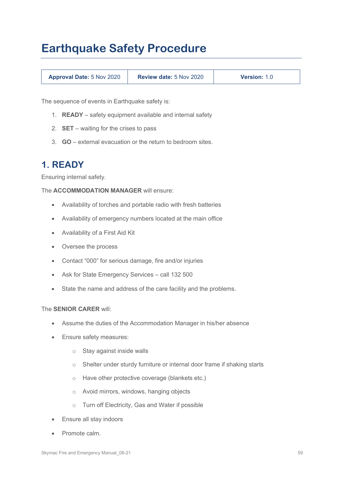# **Earthquake Safety Procedure**

| <b>Approval Date: 5 Nov 2020</b> | <b>Review date: 5 Nov 2020</b> | <b>Version: 1.0</b> |
|----------------------------------|--------------------------------|---------------------|
|                                  |                                |                     |

The sequence of events in Earthquake safety is:

- 1. **READY** safety equipment available and internal safety
- 2. **SET** waiting for the crises to pass
- 3. **GO** external evacuation or the return to bedroom sites.

### **1. READY**

Ensuring internal safety.

The **ACCOMMODATION MANAGER** will ensure:

- Availability of torches and portable radio with fresh batteries
- Availability of emergency numbers located at the main office
- Availability of a First Aid Kit
- Oversee the process
- Contact "000" for serious damage, fire and/or injuries
- Ask for State Emergency Services call 132 500
- State the name and address of the care facility and the problems.

#### The **SENIOR CARER** will:

- Assume the duties of the Accommodation Manager in his/her absence
- Ensure safety measures:
	- o Stay against inside walls
	- o Shelter under sturdy furniture or internal door frame if shaking starts
	- o Have other protective coverage (blankets etc.)
	- o Avoid mirrors, windows, hanging objects
	- o Turn off Electricity, Gas and Water if possible
- **Ensure all stay indoors**
- Promote calm.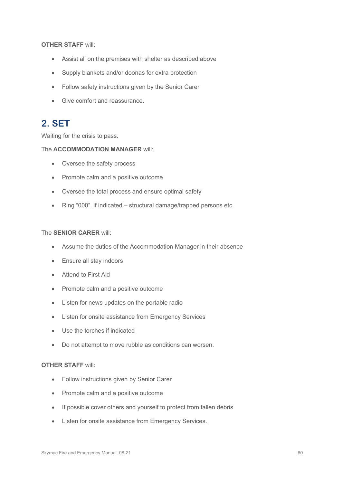### **OTHER STAFF** will:

- Assist all on the premises with shelter as described above
- Supply blankets and/or doonas for extra protection
- Follow safety instructions given by the Senior Carer
- Give comfort and reassurance.

## **2. SET**

Waiting for the crisis to pass.

### The **ACCOMMODATION MANAGER** will:

- Oversee the safety process
- Promote calm and a positive outcome
- Oversee the total process and ensure optimal safety
- Ring "000". if indicated structural damage/trapped persons etc.

### The **SENIOR CARER** will:

- Assume the duties of the Accommodation Manager in their absence
- Ensure all stay indoors
- Attend to First Aid
- Promote calm and a positive outcome
- Listen for news updates on the portable radio
- Listen for onsite assistance from Emergency Services
- Use the torches if indicated
- Do not attempt to move rubble as conditions can worsen.

#### **OTHER STAFF** will:

- Follow instructions given by Senior Carer
- Promote calm and a positive outcome
- If possible cover others and yourself to protect from fallen debris
- Listen for onsite assistance from Emergency Services.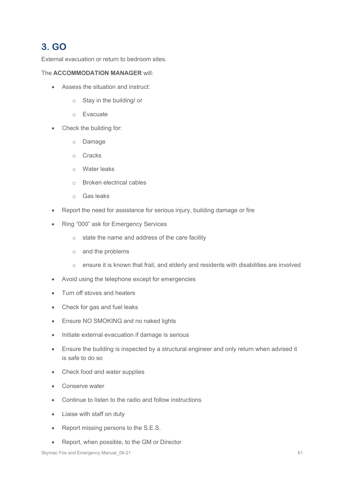## **3. GO**

External evacuation or return to bedroom sites.

### The **ACCOMMODATION MANAGER** will:

- Assess the situation and instruct:
	- o Stay in the building/ or
	- o Evacuate
- Check the building for:
	- o Damage
	- o Cracks
	- o Water leaks
	- o Broken electrical cables
	- o Gas leaks
- Report the need for assistance for serious injury, building damage or fire
- Ring "000" ask for Emergency Services
	- $\circ$  state the name and address of the care facility
	- o and the problems
	- o ensure it is known that frail, and elderly and residents with disabilities are involved
- Avoid using the telephone except for emergencies
- Turn off stoves and heaters
- Check for gas and fuel leaks
- Ensure NO SMOKING and no naked lights
- Initiate external evacuation if damage is serious
- Ensure the building is inspected by a structural engineer and only return when advised it is safe to do so
- Check food and water supplies
- Conserve water
- Continue to listen to the radio and follow instructions
- Liaise with staff on duty
- Report missing persons to the S.E.S.
- Report, when possible, to the GM or Director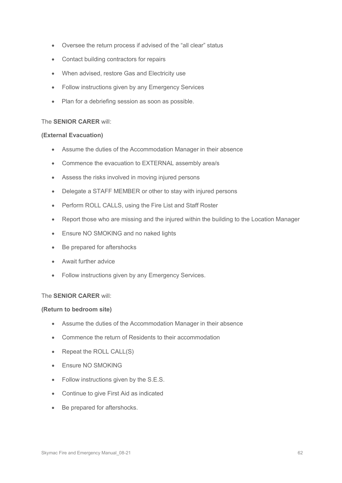- Oversee the return process if advised of the "all clear" status
- Contact building contractors for repairs
- When advised, restore Gas and Electricity use
- Follow instructions given by any Emergency Services
- Plan for a debriefing session as soon as possible.

#### The **SENIOR CARER** will:

#### **(External Evacuation)**

- Assume the duties of the Accommodation Manager in their absence
- Commence the evacuation to EXTERNAL assembly area/s
- Assess the risks involved in moving injured persons
- Delegate a STAFF MEMBER or other to stay with injured persons
- Perform ROLL CALLS, using the Fire List and Staff Roster
- Report those who are missing and the injured within the building to the Location Manager
- Ensure NO SMOKING and no naked lights
- Be prepared for aftershocks
- Await further advice
- Follow instructions given by any Emergency Services.

#### The **SENIOR CARER** will:

#### **(Return to bedroom site)**

- Assume the duties of the Accommodation Manager in their absence
- Commence the return of Residents to their accommodation
- Repeat the ROLL CALL(S)
- Ensure NO SMOKING
- Follow instructions given by the S.E.S.
- Continue to give First Aid as indicated
- Be prepared for aftershocks.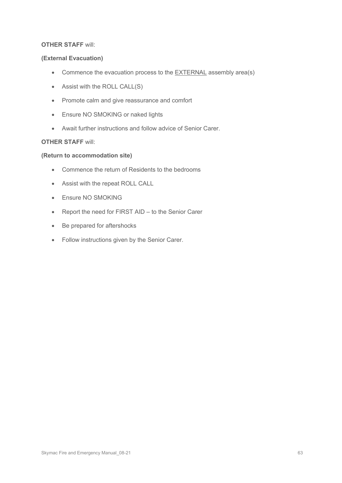### **OTHER STAFF** will:

### **(External Evacuation)**

- Commence the evacuation process to the EXTERNAL assembly area(s)
- Assist with the ROLL CALL(S)
- Promote calm and give reassurance and comfort
- Ensure NO SMOKING or naked lights
- Await further instructions and follow advice of Senior Carer.

### **OTHER STAFF** will:

#### **(Return to accommodation site)**

- Commence the return of Residents to the bedrooms
- Assist with the repeat ROLL CALL
- Ensure NO SMOKING
- Report the need for FIRST AID to the Senior Carer
- Be prepared for aftershocks
- Follow instructions given by the Senior Carer.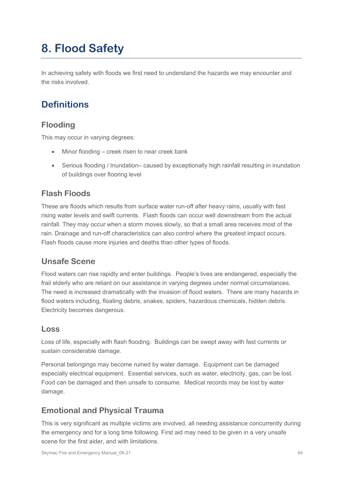# **8. Flood Safety**

In achieving safety with floods we first need to understand the hazards we may encounter and the risks involved.

## **Definitions**

### **Flooding**

This may occur in varying degrees:

- Minor flooding creek risen to near creek bank
- Serious flooding / Inundation– caused by exceptionally high rainfall resulting in inundation of buildings over flooring level

### **Flash Floods**

These are floods which results from surface water run-off after heavy rains, usually with fast rising water levels and swift currents. Flash floods can occur well downstream from the actual rainfall. They may occur when a storm moves slowly, so that a small area receives most of the rain. Drainage and run-off characteristics can also control where the greatest impact occurs. Flash floods cause more injuries and deaths than other types of floods.

### **Unsafe Scene**

Flood waters can rise rapidly and enter buildings. People's lives are endangered, especially the frail elderly who are reliant on our assistance in varying degrees under normal circumstances. The need is increased dramatically with the invasion of flood waters. There are many hazards in flood waters including, floating debris, snakes, spiders, hazardous chemicals, hidden debris. Electricity becomes dangerous.

### **Loss**

Loss of life, especially with flash flooding. Buildings can be swept away with fast currents or sustain considerable damage.

Personal belongings may become ruined by water damage. Equipment can be damaged especially electrical equipment. Essential services, such as water, electricity, gas, can be lost. Food can be damaged and then unsafe to consume. Medical records may be lost by water damage.

### **Emotional and Physical Trauma**

This is very significant as multiple victims are involved, all needing assistance concurrently during the emergency and for a long time following. First aid may need to be given in a very unsafe scene for the first aider, and with limitations.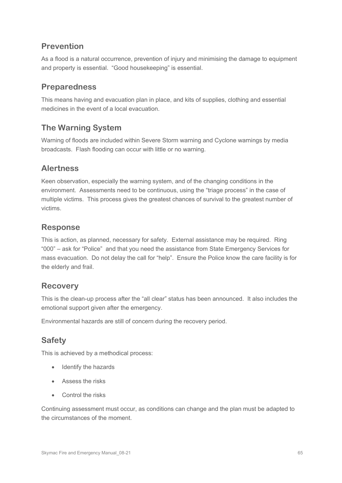### **Prevention**

As a flood is a natural occurrence, prevention of injury and minimising the damage to equipment and property is essential. "Good housekeeping" is essential.

### **Preparedness**

This means having and evacuation plan in place, and kits of supplies, clothing and essential medicines in the event of a local evacuation.

### **The Warning System**

Warning of floods are included within Severe Storm warning and Cyclone warnings by media broadcasts. Flash flooding can occur with little or no warning.

### **Alertness**

Keen observation, especially the warning system, and of the changing conditions in the environment. Assessments need to be continuous, using the "triage process" in the case of multiple victims. This process gives the greatest chances of survival to the greatest number of victims.

### **Response**

This is action, as planned, necessary for safety. External assistance may be required. Ring "000" – ask for "Police" and that you need the assistance from State Emergency Services for mass evacuation. Do not delay the call for "help". Ensure the Police know the care facility is for the elderly and frail.

### **Recovery**

This is the clean-up process after the "all clear" status has been announced. It also includes the emotional support given after the emergency.

Environmental hazards are still of concern during the recovery period.

### **Safety**

This is achieved by a methodical process:

- Identify the hazards
- Assess the risks
- Control the risks

Continuing assessment must occur, as conditions can change and the plan must be adapted to the circumstances of the moment.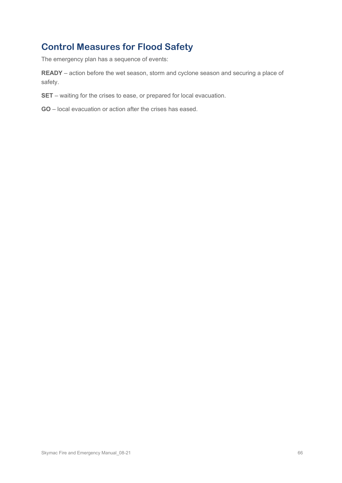## **Control Measures for Flood Safety**

The emergency plan has a sequence of events:

**READY** – action before the wet season, storm and cyclone season and securing a place of safety.

- **SET** waiting for the crises to ease, or prepared for local evacuation.
- **GO** local evacuation or action after the crises has eased.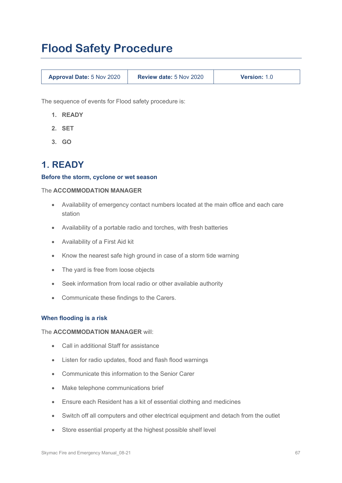# **Flood Safety Procedure**

| <b>Approval Date: 5 Nov 2020</b> | <b>Review date: 5 Nov 2020</b> | <b>Version: 1.0</b> |
|----------------------------------|--------------------------------|---------------------|
|----------------------------------|--------------------------------|---------------------|

The sequence of events for Flood safety procedure is:

- **1. READY**
- **2. SET**
- **3. GO**

## **1. READY**

#### **Before the storm, cyclone or wet season**

#### The **ACCOMMODATION MANAGER**

- Availability of emergency contact numbers located at the main office and each care station
- Availability of a portable radio and torches, with fresh batteries
- Availability of a First Aid kit
- Know the nearest safe high ground in case of a storm tide warning
- The yard is free from loose objects
- Seek information from local radio or other available authority
- Communicate these findings to the Carers.

#### **When flooding is a risk**

The **ACCOMMODATION MANAGER** will:

- Call in additional Staff for assistance
- Listen for radio updates, flood and flash flood warnings
- Communicate this information to the Senior Carer
- Make telephone communications brief
- Ensure each Resident has a kit of essential clothing and medicines
- Switch off all computers and other electrical equipment and detach from the outlet
- Store essential property at the highest possible shelf level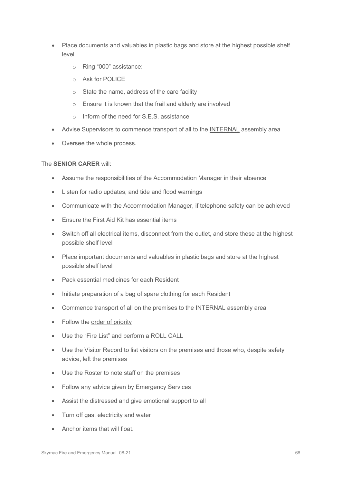- Place documents and valuables in plastic bags and store at the highest possible shelf level
	- o Ring "000" assistance:
	- o Ask for POLICE
	- o State the name, address of the care facility
	- o Ensure it is known that the frail and elderly are involved
	- o Inform of the need for S.E.S. assistance
- Advise Supervisors to commence transport of all to the INTERNAL assembly area
- Oversee the whole process.

### The **SENIOR CARER** will:

- Assume the responsibilities of the Accommodation Manager in their absence
- Listen for radio updates, and tide and flood warnings
- Communicate with the Accommodation Manager, if telephone safety can be achieved
- Ensure the First Aid Kit has essential items
- Switch off all electrical items, disconnect from the outlet, and store these at the highest possible shelf level
- Place important documents and valuables in plastic bags and store at the highest possible shelf level
- Pack essential medicines for each Resident
- Initiate preparation of a bag of spare clothing for each Resident
- Commence transport of all on the premises to the INTERNAL assembly area
- Follow the order of priority
- Use the "Fire List" and perform a ROLL CALL
- Use the Visitor Record to list visitors on the premises and those who, despite safety advice, left the premises
- Use the Roster to note staff on the premises
- Follow any advice given by Emergency Services
- Assist the distressed and give emotional support to all
- Turn off gas, electricity and water
- Anchor items that will float.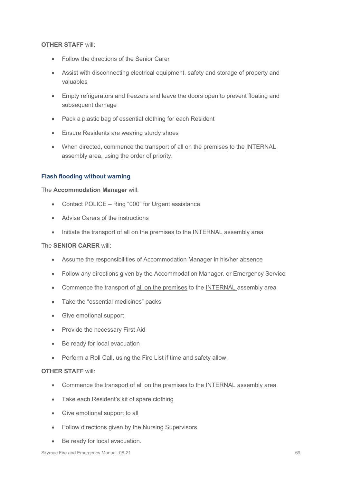### **OTHER STAFF** will:

- Follow the directions of the Senior Carer
- Assist with disconnecting electrical equipment, safety and storage of property and valuables
- Empty refrigerators and freezers and leave the doors open to prevent floating and subsequent damage
- Pack a plastic bag of essential clothing for each Resident
- Ensure Residents are wearing sturdy shoes
- When directed, commence the transport of all on the premises to the INTERNAL assembly area, using the order of priority.

### **Flash flooding without warning**

The **Accommodation Manager** will:

- Contact POLICE Ring "000" for Urgent assistance
- Advise Carers of the instructions
- Initiate the transport of all on the premises to the INTERNAL assembly area

#### The **SENIOR CARER** will:

- Assume the responsibilities of Accommodation Manager in his/her absence
- Follow any directions given by the Accommodation Manager. or Emergency Service
- Commence the transport of all on the premises to the INTERNAL assembly area
- Take the "essential medicines" packs
- Give emotional support
- Provide the necessary First Aid
- Be ready for local evacuation
- Perform a Roll Call, using the Fire List if time and safety allow.

#### **OTHER STAFF** will:

- Commence the transport of all on the premises to the INTERNAL assembly area
- Take each Resident's kit of spare clothing
- Give emotional support to all
- Follow directions given by the Nursing Supervisors
- Be ready for local evacuation.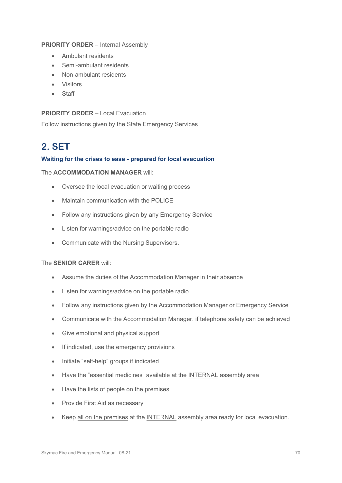### **PRIORITY ORDER** – Internal Assembly

- Ambulant residents
- Semi-ambulant residents
- Non-ambulant residents
- Visitors
- Staff

### **PRIORITY ORDER** – Local Evacuation

Follow instructions given by the State Emergency Services

## **2. SET**

### **Waiting for the crises to ease - prepared for local evacuation**

### The **ACCOMMODATION MANAGER** will:

- Oversee the local evacuation or waiting process
- Maintain communication with the POLICE
- Follow any instructions given by any Emergency Service
- Listen for warnings/advice on the portable radio
- Communicate with the Nursing Supervisors.

#### The **SENIOR CARER** will:

- Assume the duties of the Accommodation Manager in their absence
- Listen for warnings/advice on the portable radio
- Follow any instructions given by the Accommodation Manager or Emergency Service
- Communicate with the Accommodation Manager. if telephone safety can be achieved
- Give emotional and physical support
- If indicated, use the emergency provisions
- Initiate "self-help" groups if indicated
- Have the "essential medicines" available at the INTERNAL assembly area
- Have the lists of people on the premises
- Provide First Aid as necessary
- Keep all on the premises at the INTERNAL assembly area ready for local evacuation.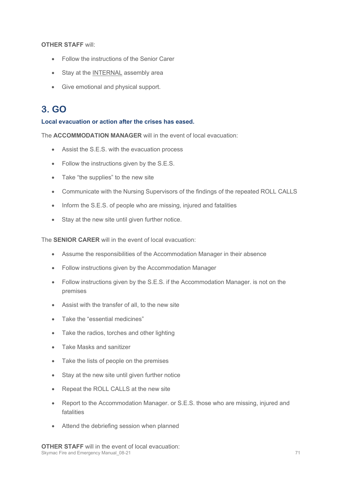**OTHER STAFF** will:

- Follow the instructions of the Senior Carer
- Stay at the INTERNAL assembly area
- Give emotional and physical support.

## **3. GO**

### **Local evacuation or action after the crises has eased.**

The **ACCOMMODATION MANAGER** will in the event of local evacuation:

- Assist the S.E.S. with the evacuation process
- Follow the instructions given by the S.E.S.
- Take "the supplies" to the new site
- Communicate with the Nursing Supervisors of the findings of the repeated ROLL CALLS
- Inform the S.E.S. of people who are missing, injured and fatalities
- Stay at the new site until given further notice.

The **SENIOR CARER** will in the event of local evacuation:

- Assume the responsibilities of the Accommodation Manager in their absence
- Follow instructions given by the Accommodation Manager
- Follow instructions given by the S.E.S. if the Accommodation Manager. is not on the premises
- Assist with the transfer of all, to the new site
- Take the "essential medicines"
- Take the radios, torches and other lighting
- Take Masks and sanitizer
- Take the lists of people on the premises
- Stay at the new site until given further notice
- Repeat the ROLL CALLS at the new site
- Report to the Accommodation Manager. or S.E.S. those who are missing, injured and fatalities
- Attend the debriefing session when planned

Skymac Fire and Emergency Manual\_08-21 71 **OTHER STAFF** will in the event of local evacuation: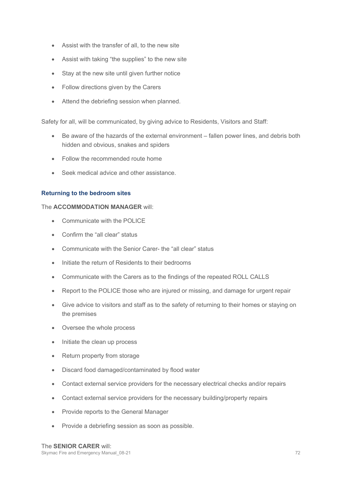- Assist with the transfer of all, to the new site
- Assist with taking "the supplies" to the new site
- Stay at the new site until given further notice
- Follow directions given by the Carers
- Attend the debriefing session when planned.

Safety for all, will be communicated, by giving advice to Residents, Visitors and Staff:

- Be aware of the hazards of the external environment fallen power lines, and debris both hidden and obvious, snakes and spiders
- Follow the recommended route home
- Seek medical advice and other assistance.

### **Returning to the bedroom sites**

### The **ACCOMMODATION MANAGER** will:

- Communicate with the POLICE
- Confirm the "all clear" status
- Communicate with the Senior Carer- the "all clear" status
- Initiate the return of Residents to their bedrooms
- Communicate with the Carers as to the findings of the repeated ROLL CALLS
- Report to the POLICE those who are injured or missing, and damage for urgent repair
- Give advice to visitors and staff as to the safety of returning to their homes or staying on the premises
- Oversee the whole process
- Initiate the clean up process
- Return property from storage
- Discard food damaged/contaminated by flood water
- Contact external service providers for the necessary electrical checks and/or repairs
- Contact external service providers for the necessary building/property repairs
- Provide reports to the General Manager
- Provide a debriefing session as soon as possible.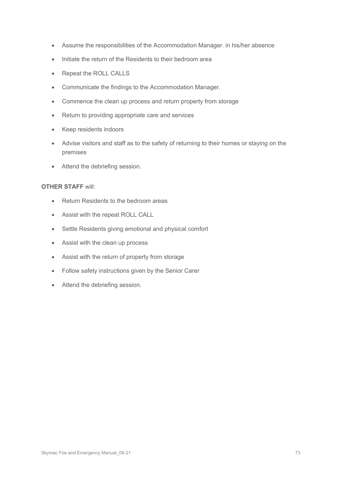- Assume the responsibilities of the Accommodation Manager. in his/her absence
- Initiate the return of the Residents to their bedroom area
- Repeat the ROLL CALLS
- Communicate the findings to the Accommodation Manager.
- Commence the clean up process and return property from storage
- Return to providing appropriate care and services
- Keep residents indoors
- Advise visitors and staff as to the safety of returning to their homes or staying on the premises
- Attend the debriefing session.

#### **OTHER STAFF** will:

- Return Residents to the bedroom areas
- Assist with the repeat ROLL CALL
- Settle Residents giving emotional and physical comfort
- Assist with the clean up process
- Assist with the return of property from storage
- Follow safety instructions given by the Senior Carer
- Attend the debriefing session.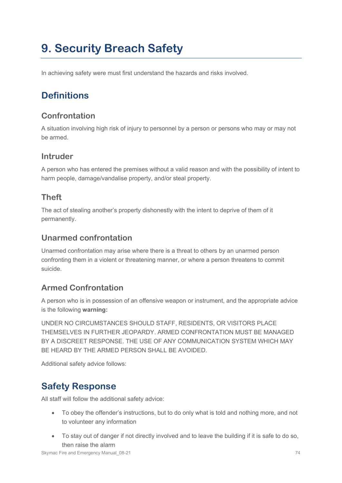# **9. Security Breach Safety**

In achieving safety were must first understand the hazards and risks involved.

# **Definitions**

### **Confrontation**

A situation involving high risk of injury to personnel by a person or persons who may or may not be armed.

### **Intruder**

A person who has entered the premises without a valid reason and with the possibility of intent to harm people, damage/vandalise property, and/or steal property.

### **Theft**

The act of stealing another's property dishonestly with the intent to deprive of them of it permanently.

### **Unarmed confrontation**

Unarmed confrontation may arise where there is a threat to others by an unarmed person confronting them in a violent or threatening manner, or where a person threatens to commit suicide.

### **Armed Confrontation**

A person who is in possession of an offensive weapon or instrument, and the appropriate advice is the following **warning:**

UNDER NO CIRCUMSTANCES SHOULD STAFF, RESIDENTS, OR VISITORS PLACE THEMSELVES IN FURTHER JEOPARDY. ARMED CONFRONTATION MUST BE MANAGED BY A DISCREET RESPONSE. THE USE OF ANY COMMUNICATION SYSTEM WHICH MAY BE HEARD BY THE ARMED PERSON SHALL BE AVOIDED.

Additional safety advice follows:

## **Safety Response**

All staff will follow the additional safety advice:

- To obey the offender's instructions, but to do only what is told and nothing more, and not to volunteer any information
- To stay out of danger if not directly involved and to leave the building if it is safe to do so, then raise the alarm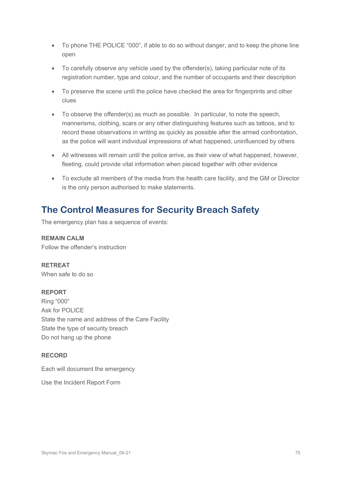- To phone THE POLICE "000", if able to do so without danger, and to keep the phone line open
- To carefully observe any vehicle used by the offender(s), taking particular note of its registration number, type and colour, and the number of occupants and their description
- To preserve the scene until the police have checked the area for fingerprints and other clues
- To observe the offender(s) as much as possible. In particular, to note the speech, mannerisms, clothing, scars or any other distinguishing features such as tattoos, and to record these observations in writing as quickly as possible after the armed confrontation, as the police will want individual impressions of what happened, uninfluenced by others
- All witnesses will remain until the police arrive, as their view of what happened, however, fleeting, could provide vital information when pieced together with other evidence
- To exclude all members of the media from the health care facility, and the GM or Director is the only person authorised to make statements.

# **The Control Measures for Security Breach Safety**

The emergency plan has a sequence of events:

**REMAIN CALM** Follow the offender's instruction

**RETREAT** When safe to do so

#### **REPORT**

Ring "000" Ask for POLICE State the name and address of the Care Facility State the type of security breach Do not hang up the phone

#### **RECORD**

Each will document the emergency

Use the Incident Report Form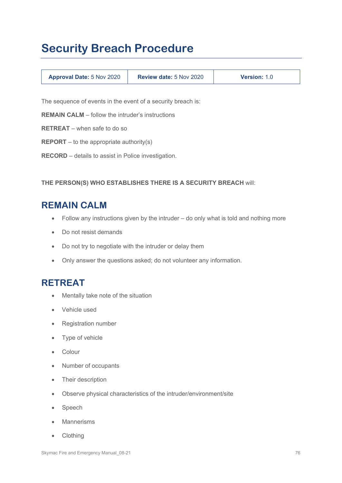# **Security Breach Procedure**

| <b>Approval Date: 5 Nov 2020</b> | <b>Review date: 5 Nov 2020</b> | <b>Version: 1.0</b> |
|----------------------------------|--------------------------------|---------------------|
|----------------------------------|--------------------------------|---------------------|

The sequence of events in the event of a security breach is:

**REMAIN CALM** – follow the intruder's instructions

**RETREAT** – when safe to do so

**REPORT** – to the appropriate authority(s)

**RECORD** – details to assist in Police investigation.

**THE PERSON(S) WHO ESTABLISHES THERE IS A SECURITY BREACH** will:

### **REMAIN CALM**

- Follow any instructions given by the intruder do only what is told and nothing more
- Do not resist demands
- Do not try to negotiate with the intruder or delay them
- Only answer the questions asked; do not volunteer any information.

### **RETREAT**

- Mentally take note of the situation
- Vehicle used
- Registration number
- Type of vehicle
- Colour
- Number of occupants
- Their description
- Observe physical characteristics of the intruder/environment/site
- Speech
- **Mannerisms**
- Clothing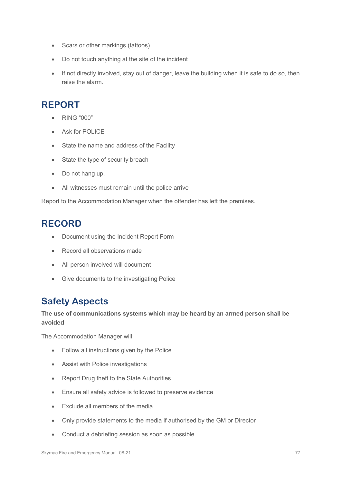- Scars or other markings (tattoos)
- Do not touch anything at the site of the incident
- If not directly involved, stay out of danger, leave the building when it is safe to do so, then raise the alarm.

## **REPORT**

- RING "000"
- Ask for POLICE
- State the name and address of the Facility
- State the type of security breach
- Do not hang up.
- All witnesses must remain until the police arrive

Report to the Accommodation Manager when the offender has left the premises.

# **RECORD**

- Document using the Incident Report Form
- Record all observations made
- All person involved will document
- Give documents to the investigating Police

# **Safety Aspects**

#### **The use of communications systems which may be heard by an armed person shall be avoided**

The Accommodation Manager will:

- Follow all instructions given by the Police
- Assist with Police investigations
- Report Drug theft to the State Authorities
- Ensure all safety advice is followed to preserve evidence
- Exclude all members of the media
- Only provide statements to the media if authorised by the GM or Director
- Conduct a debriefing session as soon as possible.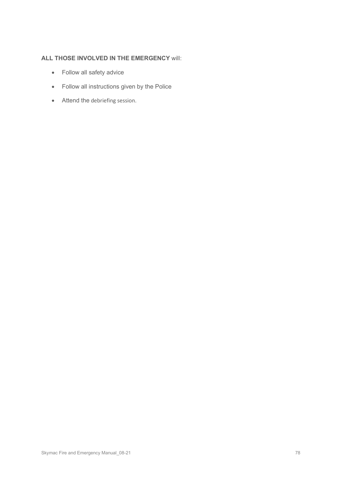#### **ALL THOSE INVOLVED IN THE EMERGENCY** will:

- Follow all safety advice
- Follow all instructions given by the Police
- Attend the debriefing session.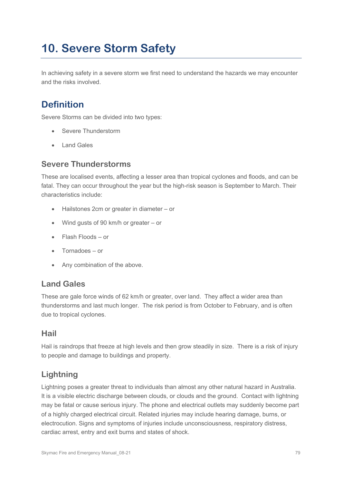# **10. Severe Storm Safety**

In achieving safety in a severe storm we first need to understand the hazards we may encounter and the risks involved.

# **Definition**

Severe Storms can be divided into two types:

- Severe Thunderstorm
- Land Gales

### **Severe Thunderstorms**

These are localised events, affecting a lesser area than tropical cyclones and floods, and can be fatal. They can occur throughout the year but the high-risk season is September to March. Their characteristics include:

- Hailstones 2cm or greater in diameter or
- Wind gusts of 90 km/h or greater or
- Flash Floods or
- Tornadoes or
- Any combination of the above.

#### **Land Gales**

These are gale force winds of 62 km/h or greater, over land. They affect a wider area than thunderstorms and last much longer. The risk period is from October to February, and is often due to tropical cyclones.

#### **Hail**

Hail is raindrops that freeze at high levels and then grow steadily in size. There is a risk of injury to people and damage to buildings and property.

## **Lightning**

Lightning poses a greater threat to individuals than almost any other natural hazard in Australia. It is a visible electric discharge between clouds, or clouds and the ground. Contact with lightning may be fatal or cause serious injury. The phone and electrical outlets may suddenly become part of a highly charged electrical circuit. Related injuries may include hearing damage, burns, or electrocution. Signs and symptoms of injuries include unconsciousness, respiratory distress, cardiac arrest, entry and exit burns and states of shock.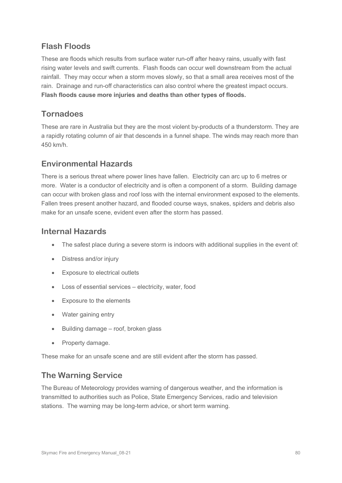### **Flash Floods**

These are floods which results from surface water run-off after heavy rains, usually with fast rising water levels and swift currents. Flash floods can occur well downstream from the actual rainfall. They may occur when a storm moves slowly, so that a small area receives most of the rain. Drainage and run-off characteristics can also control where the greatest impact occurs. **Flash floods cause more injuries and deaths than other types of floods.**

### **Tornadoes**

These are rare in Australia but they are the most violent by-products of a thunderstorm. They are a rapidly rotating column of air that descends in a funnel shape. The winds may reach more than 450 km/h.

### **Environmental Hazards**

There is a serious threat where power lines have fallen. Electricity can arc up to 6 metres or more. Water is a conductor of electricity and is often a component of a storm. Building damage can occur with broken glass and roof loss with the internal environment exposed to the elements. Fallen trees present another hazard, and flooded course ways, snakes, spiders and debris also make for an unsafe scene, evident even after the storm has passed.

### **Internal Hazards**

- The safest place during a severe storm is indoors with additional supplies in the event of:
- Distress and/or injury
- Exposure to electrical outlets
- Loss of essential services electricity, water, food
- Exposure to the elements
- Water gaining entry
- Building damage roof, broken glass
- Property damage.

These make for an unsafe scene and are still evident after the storm has passed.

### **The Warning Service**

The Bureau of Meteorology provides warning of dangerous weather, and the information is transmitted to authorities such as Police, State Emergency Services, radio and television stations. The warning may be long-term advice, or short term warning.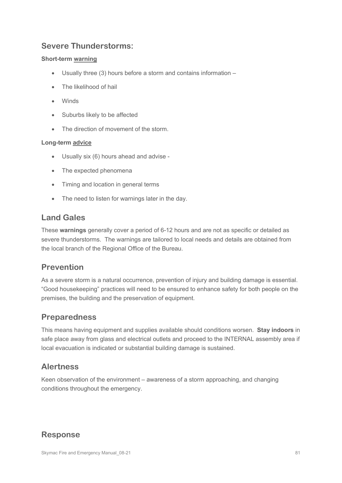### **Severe Thunderstorms:**

#### **Short-term warning**

- Usually three (3) hours before a storm and contains information –
- The likelihood of hail
- Winds
- Suburbs likely to be affected
- The direction of movement of the storm.

#### **Long-term advice**

- Usually six (6) hours ahead and advise -
- The expected phenomena
- Timing and location in general terms
- The need to listen for warnings later in the day.

#### **Land Gales**

These **warnings** generally cover a period of 6-12 hours and are not as specific or detailed as severe thunderstorms. The warnings are tailored to local needs and details are obtained from the local branch of the Regional Office of the Bureau.

### **Prevention**

As a severe storm is a natural occurrence, prevention of injury and building damage is essential. "Good housekeeping" practices will need to be ensured to enhance safety for both people on the premises, the building and the preservation of equipment.

### **Preparedness**

This means having equipment and supplies available should conditions worsen. **Stay indoors** in safe place away from glass and electrical outlets and proceed to the INTERNAL assembly area if local evacuation is indicated or substantial building damage is sustained.

### **Alertness**

Keen observation of the environment – awareness of a storm approaching, and changing conditions throughout the emergency.

### **Response**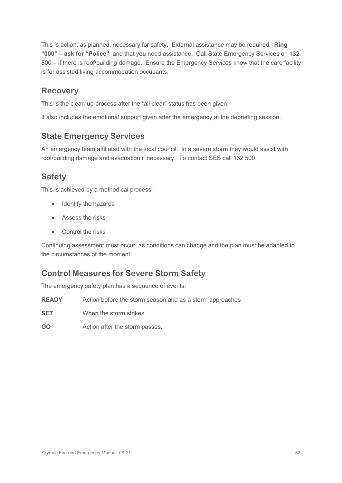This is action, as planned, necessary for safety. External assistance may be required. **Ring "000" – ask for "Police"** and that you need assistance. Call State Emergency Services on 132 500 – if there is roof/building damage. Ensure the Emergency Services know that the care facility is for assisted living accommodation occupants.

### **Recovery**

This is the clean-up process after the "all clear" status has been given.

It also includes the emotional support given after the emergency at the debriefing session.

### **State Emergency Services**

An emergency team affiliated with the local council. In a severe storm they would assist with roof/building damage and evacuation if necessary. To contact SES call 132 500.

### **Safety**

This is achieved by a methodical process:

- Identify the hazards
- Assess the risks
- Control the risks

Continuing assessment must occur, as conditions can change and the plan must be adapted to the circumstances of the moment.

### **Control Measures for Severe Storm Safety**

The emergency safety plan has a sequence of events:

- **READY** Action before the storm season and as a storm approaches
- **SET** When the storm strikes
- **GO** Action after the storm passes.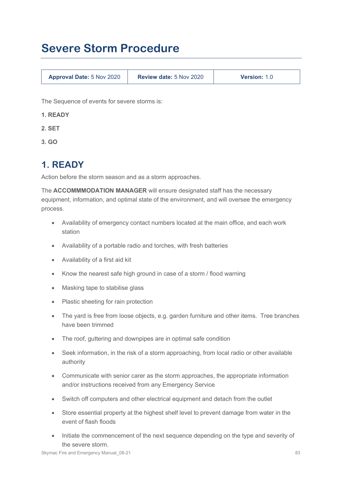# **Severe Storm Procedure**

| <b>Approval Date: 5 Nov 2020</b> | Review date: 5 Nov 2020 | <b>Version: 1.0</b> |
|----------------------------------|-------------------------|---------------------|
|----------------------------------|-------------------------|---------------------|

The Sequence of events for severe storms is:

- **1. READY**
- **2. SET**
- **3. GO**

# **1. READY**

Action before the storm season and as a storm approaches.

The **ACCOMMMODATION MANAGER** will ensure designated staff has the necessary equipment, information, and optimal state of the environment, and will oversee the emergency process.

- Availability of emergency contact numbers located at the main office, and each work station
- Availability of a portable radio and torches, with fresh batteries
- Availability of a first aid kit
- Know the nearest safe high ground in case of a storm / flood warning
- Masking tape to stabilise glass
- Plastic sheeting for rain protection
- The yard is free from loose objects, e.g. garden furniture and other items. Tree branches have been trimmed
- The roof, guttering and downpipes are in optimal safe condition
- Seek information, in the risk of a storm approaching, from local radio or other available authority
- Communicate with senior carer as the storm approaches, the appropriate information and/or instructions received from any Emergency Service
- Switch off computers and other electrical equipment and detach from the outlet
- Store essential property at the highest shelf level to prevent damage from water in the event of flash floods
- Initiate the commencement of the next sequence depending on the type and severity of the severe storm.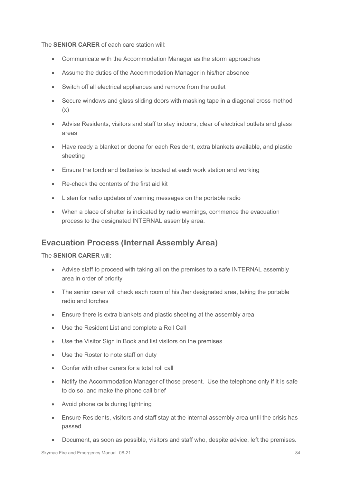The **SENIOR CARER** of each care station will:

- Communicate with the Accommodation Manager as the storm approaches
- Assume the duties of the Accommodation Manager in his/her absence
- Switch off all electrical appliances and remove from the outlet
- Secure windows and glass sliding doors with masking tape in a diagonal cross method (x)
- Advise Residents, visitors and staff to stay indoors, clear of electrical outlets and glass areas
- Have ready a blanket or doona for each Resident, extra blankets available, and plastic sheeting
- Ensure the torch and batteries is located at each work station and working
- Re-check the contents of the first aid kit
- Listen for radio updates of warning messages on the portable radio
- When a place of shelter is indicated by radio warnings, commence the evacuation process to the designated INTERNAL assembly area.

#### **Evacuation Process (Internal Assembly Area)**

The **SENIOR CARER** will:

- Advise staff to proceed with taking all on the premises to a safe INTERNAL assembly area in order of priority
- The senior carer will check each room of his /her designated area, taking the portable radio and torches
- Ensure there is extra blankets and plastic sheeting at the assembly area
- Use the Resident List and complete a Roll Call
- Use the Visitor Sign in Book and list visitors on the premises
- Use the Roster to note staff on duty
- Confer with other carers for a total roll call
- Notify the Accommodation Manager of those present. Use the telephone only if it is safe to do so, and make the phone call brief
- Avoid phone calls during lightning
- Ensure Residents, visitors and staff stay at the internal assembly area until the crisis has passed
- Document, as soon as possible, visitors and staff who, despite advice, left the premises.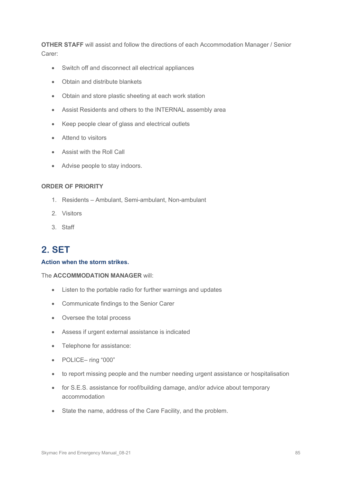**OTHER STAFF** will assist and follow the directions of each Accommodation Manager / Senior Carer:

- Switch off and disconnect all electrical appliances
- Obtain and distribute blankets
- Obtain and store plastic sheeting at each work station
- Assist Residents and others to the INTERNAL assembly area
- Keep people clear of glass and electrical outlets
- Attend to visitors
- Assist with the Roll Call
- Advise people to stay indoors.

#### **ORDER OF PRIORITY**

- 1. Residents Ambulant, Semi-ambulant, Non-ambulant
- 2. Visitors
- 3. Staff

## **2. SET**

#### **Action when the storm strikes.**

#### The **ACCOMMODATION MANAGER** will:

- Listen to the portable radio for further warnings and updates
- Communicate findings to the Senior Carer
- Oversee the total process
- Assess if urgent external assistance is indicated
- Telephone for assistance:
- POLICE– ring "000"
- to report missing people and the number needing urgent assistance or hospitalisation
- for S.E.S. assistance for roof/building damage, and/or advice about temporary accommodation
- State the name, address of the Care Facility, and the problem.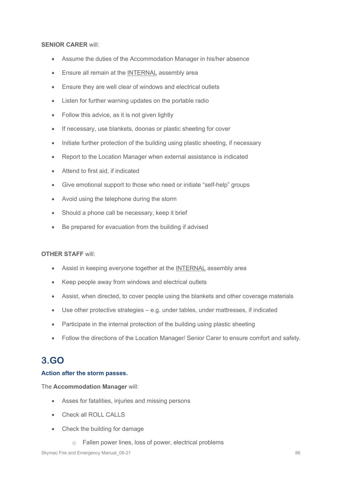#### **SENIOR CARER** will:

- Assume the duties of the Accommodation Manager in his/her absence
- Ensure all remain at the INTERNAL assembly area
- Ensure they are well clear of windows and electrical outlets
- Listen for further warning updates on the portable radio
- Follow this advice, as it is not given lightly
- If necessary, use blankets, doonas or plastic sheeting for cover
- Initiate further protection of the building using plastic sheeting, if necessary
- Report to the Location Manager when external assistance is indicated
- Attend to first aid, if indicated
- Give emotional support to those who need or initiate "self-help" groups
- Avoid using the telephone during the storm
- Should a phone call be necessary, keep it brief
- Be prepared for evacuation from the building if advised

#### **OTHER STAFF** will:

- Assist in keeping everyone together at the INTERNAL assembly area
- Keep people away from windows and electrical outlets
- Assist, when directed, to cover people using the blankets and other coverage materials
- Use other protective strategies e.g. under tables, under mattresses, if indicated
- Participate in the internal protection of the building using plastic sheeting
- Follow the directions of the Location Manager/ Senior Carer to ensure comfort and safety.

# **3.GO**

#### **Action after the storm passes.**

The **Accommodation Manager** will:

- Asses for fatalities, injuries and missing persons
- Check all ROLL CALLS
- Check the building for damage
	- o Fallen power lines, loss of power, electrical problems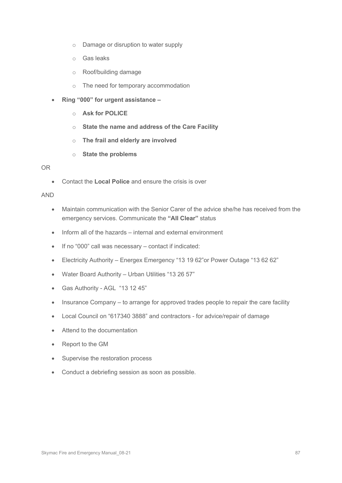- o Damage or disruption to water supply
- o Gas leaks
- o Roof/building damage
- o The need for temporary accommodation
- **Ring "000" for urgent assistance –**
	- o **Ask for POLICE**
	- o **State the name and address of the Care Facility**
	- o **The frail and elderly are involved**
	- o **State the problems**

#### OR

• Contact the **Local Police** and ensure the crisis is over

#### AND

- Maintain communication with the Senior Carer of the advice she/he has received from the emergency services. Communicate the **"All Clear"** status
- Inform all of the hazards internal and external environment
- If no "000" call was necessary contact if indicated:
- Electricity Authority Energex Emergency "13 19 62"or Power Outage "13 62 62"
- Water Board Authority Urban Utilities "13 26 57"
- Gas Authority AGL "13 12 45"
- Insurance Company to arrange for approved trades people to repair the care facility
- Local Council on "617340 3888" and contractors for advice/repair of damage
- Attend to the documentation
- Report to the GM
- Supervise the restoration process
- Conduct a debriefing session as soon as possible.